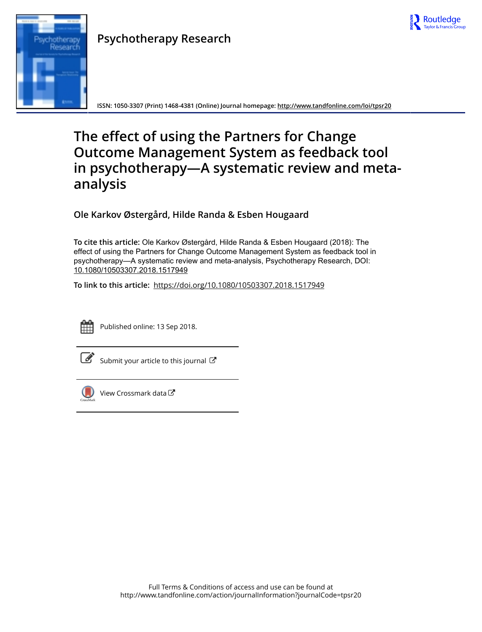

# Research

**Psychotherapy Research**

**ISSN: 1050-3307 (Print) 1468-4381 (Online) Journal homepage:<http://www.tandfonline.com/loi/tpsr20>**

# **The effect of using the Partners for Change Outcome Management System as feedback tool in psychotherapy—A systematic review and metaanalysis**

**Ole Karkov Østergård, Hilde Randa & Esben Hougaard**

**To cite this article:** Ole Karkov Østergård, Hilde Randa & Esben Hougaard (2018): The effect of using the Partners for Change Outcome Management System as feedback tool in psychotherapy—A systematic review and meta-analysis, Psychotherapy Research, DOI: [10.1080/10503307.2018.1517949](http://www.tandfonline.com/action/showCitFormats?doi=10.1080/10503307.2018.1517949)

**To link to this article:** <https://doi.org/10.1080/10503307.2018.1517949>



Published online: 13 Sep 2018.



 $\mathbb S$  [Submit your article to this journal](http://www.tandfonline.com/action/authorSubmission?journalCode=tpsr20&show=instructions)  $\mathbb S$ 



[View Crossmark data](http://crossmark.crossref.org/dialog/?doi=10.1080/10503307.2018.1517949&domain=pdf&date_stamp=2018-09-13)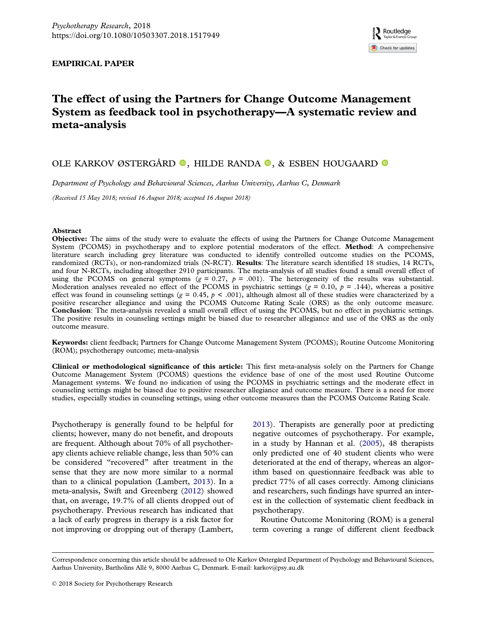### <span id="page-1-0"></span>EMPIRICAL PAPER

## The effect of using the Partners for Change Outcome Management System as feedback tool in psychotherapy—A systematic review and meta-analysis

### OLE KARKOV ØSTERGÅRD <sup>®</sup>, HILDE RANDA <sup>®</sup>, & ESBEN HOUGAARD <sup>®</sup>

Department of Psychology and Behavioural Sciences, Aarhus University, Aarhus C, Denmark

(Received 15 May 2018; revised 16 August 2018; accepted 16 August 2018)

### Abstract

Objective: The aims of the study were to evaluate the effects of using the Partners for Change Outcome Management System (PCOMS) in psychotherapy and to explore potential moderators of the effect. Method: A comprehensive literature search including grey literature was conducted to identify controlled outcome studies on the PCOMS, randomized (RCTs), or non-randomized trials (N-RCT). Results: The literature search identified 18 studies, 14 RCTs, and four N-RCTs, including altogether 2910 participants. The meta-analysis of all studies found a small overall effect of using the PCOMS on general symptoms ( $g = 0.27$ ,  $p = .001$ ). The heterogeneity of the results was substantial. Moderation analyses revealed no effect of the PCOMS in psychiatric settings ( $g = 0.10$ ,  $p = .144$ ), whereas a positive effect was found in counseling settings ( $g = 0.45$ ,  $p < .001$ ), although almost all of these studies were characterized by a positive researcher allegiance and using the PCOMS Outcome Rating Scale (ORS) as the only outcome measure. Conclusion: The meta-analysis revealed a small overall effect of using the PCOMS, but no effect in psychiatric settings. The positive results in counseling settings might be biased due to researcher allegiance and use of the ORS as the only outcome measure.

Keywords: client feedback; Partners for Change Outcome Management System (PCOMS); Routine Outcome Monitoring (ROM); psychotherapy outcome; meta-analysis

Clinical or methodological significance of this article: This first meta-analysis solely on the Partners for Change Outcome Management System (PCOMS) questions the evidence base of one of the most used Routine Outcome Management systems. We found no indication of using the PCOMS in psychiatric settings and the moderate effect in counseling settings might be biased due to positive researcher allegiance and outcome measure. There is a need for more studies, especially studies in counseling settings, using other outcome measures than the PCOMS Outcome Rating Scale.

Psychotherapy is generally found to be helpful for clients; however, many do not benefit, and dropouts are frequent. Although about 70% of all psychotherapy clients achieve reliable change, less than 50% can be considered "recovered" after treatment in the sense that they are now more similar to a normal than to a clinical population (Lambert, [2013\)](#page-14-0). In a meta-analysis, Swift and Greenberg ([2012](#page-15-0)) showed that, on average, 19.7% of all clients dropped out of psychotherapy. Previous research has indicated that a lack of early progress in therapy is a risk factor for not improving or dropping out of therapy (Lambert, [2013\)](#page-14-0). Therapists are generally poor at predicting negative outcomes of psychotherapy. For example, in a study by Hannan et al. [\(2005\)](#page-14-0), 48 therapists only predicted one of 40 student clients who were deteriorated at the end of therapy, whereas an algorithm based on questionnaire feedback was able to predict 77% of all cases correctly. Among clinicians and researchers, such findings have spurred an interest in the collection of systematic client feedback in psychotherapy.

Routine Outcome Monitoring (ROM) is a general term covering a range of different client feedback

Correspondence concerning this article should be addressed to Ole Karkov Østergård Department of Psychology and Behavioural Sciences, Aarhus University, Bartholins Allé 9, 8000 Aarhus C, Denmark. E-mail: [karkov@psy.au.dk](mailto:karkov@psy.au.dk)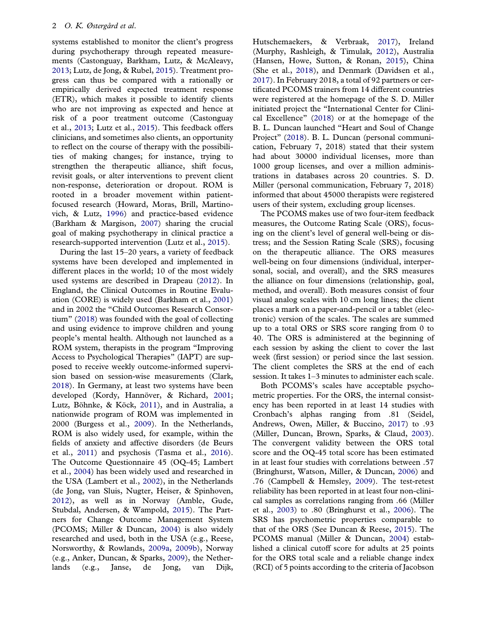<span id="page-2-0"></span>systems established to monitor the client's progress during psychotherapy through repeated measurements (Castonguay, Barkham, Lutz, & McAleavy, [2013;](#page-13-0) Lutz, de Jong, & Rubel, [2015\)](#page-15-0). Treatment progress can thus be compared with a rationally or empirically derived expected treatment response (ETR), which makes it possible to identify clients who are not improving as expected and hence at risk of a poor treatment outcome (Castonguay et al., [2013;](#page-13-0) Lutz et al., [2015](#page-15-0)). This feedback offers clinicians, and sometimes also clients, an opportunity to reflect on the course of therapy with the possibilities of making changes; for instance, trying to strengthen the therapeutic alliance, shift focus, revisit goals, or alter interventions to prevent client non-response, deterioration or dropout. ROM is rooted in a broader movement within patientfocused research (Howard, Moras, Brill, Martinovich, & Lutz, [1996](#page-14-0)) and practice-based evidence (Barkham & Margison, [2007](#page-13-0)) sharing the crucial goal of making psychotherapy in clinical practice a research-supported intervention (Lutz et al., [2015](#page-15-0)).

During the last 15–20 years, a variety of feedback systems have been developed and implemented in different places in the world; 10 of the most widely used systems are described in Drapeau [\(2012\)](#page-14-0). In England, the Clinical Outcomes in Routine Evaluation (CORE) is widely used (Barkham et al., [2001\)](#page-13-0) and in 2002 the "Child Outcomes Research Consortium" ([2018\)](#page-14-0) was founded with the goal of collecting and using evidence to improve children and young people's mental health. Although not launched as a ROM system, therapists in the program "Improving Access to Psychological Therapies" (IAPT) are supposed to receive weekly outcome-informed supervision based on session-wise measurements (Clark, [2018\)](#page-14-0). In Germany, at least two systems have been developed (Kordy, Hannöver, & Richard, [2001;](#page-14-0) Lutz, Böhnke, & Köck, [2011](#page-15-0)), and in Australia, a nationwide program of ROM was implemented in 2000 (Burgess et al., [2009\)](#page-13-0). In the Netherlands, ROM is also widely used, for example, within the fields of anxiety and affective disorders (de Beurs et al., [2011](#page-14-0)) and psychosis (Tasma et al., [2016\)](#page-15-0). The Outcome Questionnaire 45 (OQ-45; Lambert et al., [2004](#page-15-0)) has been widely used and researched in the USA (Lambert et al., [2002\)](#page-15-0), in the Netherlands (de Jong, van Sluis, Nugter, Heiser, & Spinhoven, [2012\)](#page-14-0), as well as in Norway (Amble, Gude, Stubdal, Andersen, & Wampold, [2015\)](#page-13-0). The Partners for Change Outcome Management System (PCOMS; Miller & Duncan, [2004](#page-15-0)) is also widely researched and used, both in the USA (e.g., Reese, Norsworthy, & Rowlands, [2009a](#page-15-0), [2009b](#page-15-0)), Norway (e.g., Anker, Duncan, & Sparks, [2009\)](#page-13-0), the Netherlands (e.g., Janse, de Jong, van Dijk,

Hutschemaekers, & Verbraak, [2017\)](#page-14-0), Ireland (Murphy, Rashleigh, & Timulak, [2012\)](#page-15-0), Australia (Hansen, Howe, Sutton, & Ronan, [2015\)](#page-14-0), China (She et al., [2018\)](#page-15-0), and Denmark (Davidsen et al., [2017\)](#page-14-0). In February 2018, a total of 92 partners or certificated PCOMS trainers from 14 different countries were registered at the homepage of the S. D. Miller initiated project the "International Center for Clinical Excellence" ([2018](#page-14-0)) or at the homepage of the B. L. Duncan launched "Heart and Soul of Change Project" [\(2018](#page-14-0)). B. L. Duncan (personal communication, February 7, 2018) stated that their system had about 30000 individual licenses, more than 1000 group licenses, and over a million administrations in databases across 20 countries. S. D. Miller (personal communication, February 7, 2018) informed that about 45000 therapists were registered users of their system, excluding group licenses.

The PCOMS makes use of two four-item feedback measures, the Outcome Rating Scale (ORS), focusing on the client's level of general well-being or distress; and the Session Rating Scale (SRS), focusing on the therapeutic alliance. The ORS measures well-being on four dimensions (individual, interpersonal, social, and overall), and the SRS measures the alliance on four dimensions (relationship, goal, method, and overall). Both measures consist of four visual analog scales with 10 cm long lines; the client places a mark on a paper-and-pencil or a tablet (electronic) version of the scales. The scales are summed up to a total ORS or SRS score ranging from 0 to 40. The ORS is administered at the beginning of each session by asking the client to cover the last week (first session) or period since the last session. The client completes the SRS at the end of each session. It takes 1–3 minutes to administer each scale.

Both PCOMS's scales have acceptable psychometric properties. For the ORS, the internal consistency has been reported in at least 14 studies with Cronbach's alphas ranging from .81 (Seidel, Andrews, Owen, Miller, & Buccino, [2017](#page-15-0)) to .93 (Miller, Duncan, Brown, Sparks, & Claud, [2003\)](#page-15-0). The convergent validity between the ORS total score and the OQ-45 total score has been estimated in at least four studies with correlations between .57 (Bringhurst, Watson, Miller, & Duncan, [2006\)](#page-13-0) and .76 (Campbell & Hemsley, [2009](#page-13-0)). The test-retest reliability has been reported in at least four non-clinical samples as correlations ranging from .66 (Miller et al., [2003\)](#page-15-0) to .80 (Bringhurst et al., [2006](#page-13-0)). The SRS has psychometric properties comparable to that of the ORS (See Duncan & Reese, [2015](#page-14-0)). The PCOMS manual (Miller & Duncan, [2004\)](#page-15-0) established a clinical cutoff score for adults at 25 points for the ORS total scale and a reliable change index (RCI) of 5 points according to the criteria of Jacobson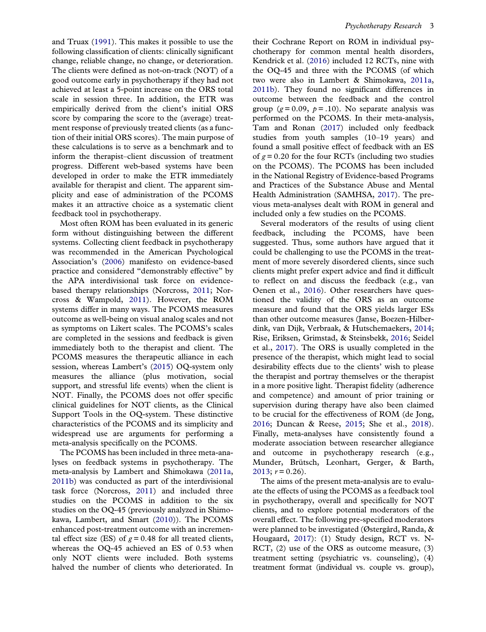<span id="page-3-0"></span>and Truax [\(1991\)](#page-14-0). This makes it possible to use the following classification of clients: clinically significant change, reliable change, no change, or deterioration. The clients were defined as not-on-track (NOT) of a good outcome early in psychotherapy if they had not achieved at least a 5-point increase on the ORS total scale in session three. In addition, the ETR was empirically derived from the client's initial ORS score by comparing the score to the (average) treatment response of previously treated clients (as a function of their initial ORS scores). The main purpose of these calculations is to serve as a benchmark and to inform the therapist–client discussion of treatment progress. Different web-based systems have been developed in order to make the ETR immediately available for therapist and client. The apparent simplicity and ease of administration of the PCOMS makes it an attractive choice as a systematic client feedback tool in psychotherapy.

Most often ROM has been evaluated in its generic form without distinguishing between the different systems. Collecting client feedback in psychotherapy was recommended in the American Psychological Association's [\(2006\)](#page-13-0) manifesto on evidence-based practice and considered "demonstrably effective" by the APA interdivisional task force on evidencebased therapy relationships (Norcross, [2011;](#page-15-0) Norcross & Wampold, [2011\)](#page-15-0). However, the ROM systems differ in many ways. The PCOMS measures outcome as well-being on visual analog scales and not as symptoms on Likert scales. The PCOMS's scales are completed in the sessions and feedback is given immediately both to the therapist and client. The PCOMS measures the therapeutic alliance in each session, whereas Lambert's [\(2015\)](#page-15-0) OQ-system only measures the alliance (plus motivation, social support, and stressful life events) when the client is NOT. Finally, the PCOMS does not offer specific clinical guidelines for NOT clients, as the Clinical Support Tools in the OQ-system. These distinctive characteristics of the PCOMS and its simplicity and widespread use are arguments for performing a meta-analysis specifically on the PCOMS.

The PCOMS has been included in three meta-analyses on feedback systems in psychotherapy. The meta-analysis by Lambert and Shimokawa [\(2011a,](#page-15-0) [2011b](#page-15-0)) was conducted as part of the interdivisional task force (Norcross, [2011](#page-15-0)) and included three studies on the PCOMS in addition to the six studies on the OQ-45 (previously analyzed in Shimokawa, Lambert, and Smart [\(2010\)](#page-15-0)). The PCOMS enhanced post-treatment outcome with an incremental effect size (ES) of  $g = 0.48$  for all treated clients, whereas the OQ-45 achieved an ES of 0.53 when only NOT clients were included. Both systems halved the number of clients who deteriorated. In

their Cochrane Report on ROM in individual psychotherapy for common mental health disorders, Kendrick et al. [\(2016\)](#page-14-0) included 12 RCTs, nine with the OQ-45 and three with the PCOMS (of which two were also in Lambert & Shimokawa, [2011a](#page-15-0), [2011b](#page-15-0)). They found no significant differences in outcome between the feedback and the control group ( $g = 0.09$ ,  $p = .10$ ). No separate analysis was performed on the PCOMS. In their meta-analysis, Tam and Ronan [\(2017](#page-15-0)) included only feedback studies from youth samples (10–19 years) and found a small positive effect of feedback with an ES of  $g = 0.20$  for the four RCTs (including two studies on the PCOMS). The PCOMS has been included in the National Registry of Evidence-based Programs and Practices of the Substance Abuse and Mental Health Administration (SAMHSA, [2017](#page-15-0)). The previous meta-analyses dealt with ROM in general and included only a few studies on the PCOMS.

Several moderators of the results of using client feedback, including the PCOMS, have been suggested. Thus, some authors have argued that it could be challenging to use the PCOMS in the treatment of more severely disordered clients, since such clients might prefer expert advice and find it difficult to reflect on and discuss the feedback (e.g., van Oenen et al., [2016\)](#page-15-0). Other researchers have questioned the validity of the ORS as an outcome measure and found that the ORS yields larger ESs than other outcome measures (Janse, Boezen-Hilberdink, van Dijk, Verbraak, & Hutschemaekers, [2014](#page-14-0); Rise, Eriksen, Grimstad, & Steinsbekk, [2016;](#page-15-0) Seidel et al., [2017](#page-15-0)). The ORS is usually completed in the presence of the therapist, which might lead to social desirability effects due to the clients' wish to please the therapist and portray themselves or the therapist in a more positive light. Therapist fidelity (adherence and competence) and amount of prior training or supervision during therapy have also been claimed to be crucial for the effectiveness of ROM (de Jong, [2016;](#page-14-0) Duncan & Reese, [2015;](#page-14-0) She et al., [2018\)](#page-15-0). Finally, meta-analyses have consistently found a moderate association between researcher allegiance and outcome in psychotherapy research (e.g., Munder, Brütsch, Leonhart, Gerger, & Barth,  $2013$ ;  $r = 0.26$ ).

The aims of the present meta-analysis are to evaluate the effects of using the PCOMS as a feedback tool in psychotherapy, overall and specifically for NOT clients, and to explore potential moderators of the overall effect. The following pre-specified moderators were planned to be investigated (Østergård, Randa, & Hougaard, [2017](#page-15-0)): (1) Study design, RCT vs. N-RCT, (2) use of the ORS as outcome measure, (3) treatment setting (psychiatric vs. counseling), (4) treatment format (individual vs. couple vs. group),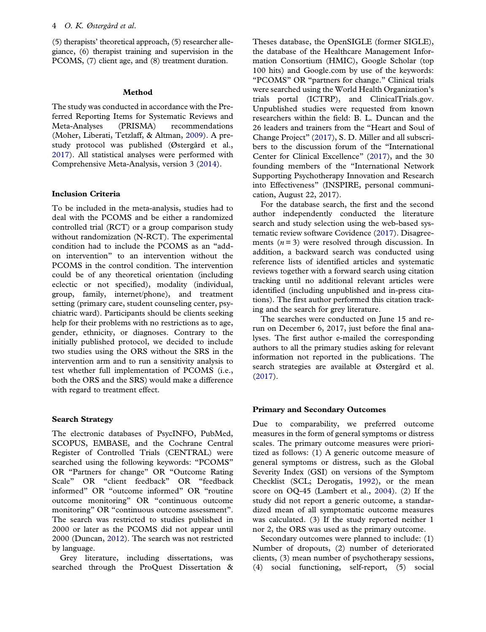<span id="page-4-0"></span>(5) therapists' theoretical approach, (5) researcher allegiance, (6) therapist training and supervision in the PCOMS, (7) client age, and (8) treatment duration.

### Method

The study was conducted in accordance with the Preferred Reporting Items for Systematic Reviews and Meta-Analyses (PRISMA) recommendations (Moher, Liberati, Tetzlaff, & Altman, [2009\)](#page-15-0). A prestudy protocol was published (Østergård et al., [2017\)](#page-15-0). All statistical analyses were performed with Comprehensive Meta-Analysis, version 3 ([2014\)](#page-14-0).

### Inclusion Criteria

To be included in the meta-analysis, studies had to deal with the PCOMS and be either a randomized controlled trial (RCT) or a group comparison study without randomization (N-RCT). The experimental condition had to include the PCOMS as an "addon intervention" to an intervention without the PCOMS in the control condition. The intervention could be of any theoretical orientation (including eclectic or not specified), modality (individual, group, family, internet/phone), and treatment setting (primary care, student counseling center, psychiatric ward). Participants should be clients seeking help for their problems with no restrictions as to age, gender, ethnicity, or diagnoses. Contrary to the initially published protocol, we decided to include two studies using the ORS without the SRS in the intervention arm and to run a sensitivity analysis to test whether full implementation of PCOMS (i.e., both the ORS and the SRS) would make a difference with regard to treatment effect.

### Search Strategy

The electronic databases of PsycINFO, PubMed, SCOPUS, EMBASE, and the Cochrane Central Register of Controlled Trials (CENTRAL) were searched using the following keywords: "PCOMS" OR "Partners for change" OR "Outcome Rating Scale" OR "client feedback" OR "feedback informed" OR "outcome informed" OR "routine outcome monitoring" OR "continuous outcome monitoring" OR "continuous outcome assessment". The search was restricted to studies published in 2000 or later as the PCOMS did not appear until 2000 (Duncan, [2012\)](#page-14-0). The search was not restricted by language.

Grey literature, including dissertations, was searched through the ProQuest Dissertation & Theses database, the OpenSIGLE (former SIGLE), the database of the Healthcare Management Information Consortium (HMIC), Google Scholar (top 100 hits) and Google.com by use of the keywords: "PCOMS" OR "partners for change." Clinical trials were searched using the World Health Organization's trials portal (ICTRP), and ClinicalTrials.gov. Unpublished studies were requested from known researchers within the field: B. L. Duncan and the 26 leaders and trainers from the "Heart and Soul of Change Project" [\(2017](#page-14-0)), S. D. Miller and all subscribers to the discussion forum of the "International Center for Clinical Excellence" ([2017](#page-14-0)), and the 30 founding members of the "International Network Supporting Psychotherapy Innovation and Research into Effectiveness" (INSPIRE, personal communication, August 22, 2017).

For the database search, the first and the second author independently conducted the literature search and study selection using the web-based systematic review software Covidence ([2017\)](#page-14-0). Disagreements  $(n=3)$  were resolved through discussion. In addition, a backward search was conducted using reference lists of identified articles and systematic reviews together with a forward search using citation tracking until no additional relevant articles were identified (including unpublished and in-press citations). The first author performed this citation tracking and the search for grey literature.

The searches were conducted on June 15 and rerun on December 6, 2017, just before the final analyses. The first author e-mailed the corresponding authors to all the primary studies asking for relevant information not reported in the publications. The search strategies are available at Østergård et al. ([2017](#page-15-0)).

### Primary and Secondary Outcomes

Due to comparability, we preferred outcome measures in the form of general symptoms or distress scales. The primary outcome measures were prioritized as follows: (1) A generic outcome measure of general symptoms or distress, such as the Global Severity Index (GSI) on versions of the Symptom Checklist (SCL; Derogatis, [1992\)](#page-14-0), or the mean score on OQ-45 (Lambert et al., [2004](#page-15-0)). (2) If the study did not report a generic outcome, a standardized mean of all symptomatic outcome measures was calculated. (3) If the study reported neither 1 nor 2, the ORS was used as the primary outcome.

Secondary outcomes were planned to include: (1) Number of dropouts, (2) number of deteriorated clients, (3) mean number of psychotherapy sessions, (4) social functioning, self-report, (5) social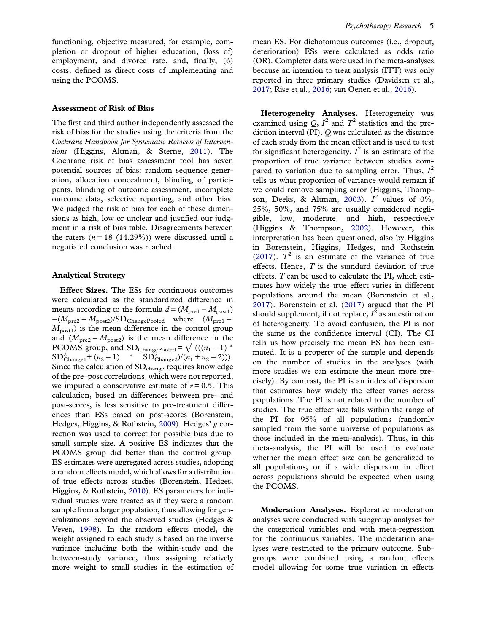<span id="page-5-0"></span>functioning, objective measured, for example, completion or dropout of higher education, (loss of) employment, and divorce rate, and, finally,  $(6)$ costs, defined as direct costs of implementing and using the PCOMS.

### Assessment of Risk of Bias

The first and third author independently assessed the risk of bias for the studies using the criteria from the Cochrane Handbook for Systematic Reviews of Interventions (Higgins, Altman, & Sterne, [2011\)](#page-14-0). The Cochrane risk of bias assessment tool has seven potential sources of bias: random sequence generation, allocation concealment, blinding of participants, blinding of outcome assessment, incomplete outcome data, selective reporting, and other bias. We judged the risk of bias for each of these dimensions as high, low or unclear and justified our judgment in a risk of bias table. Disagreements between the raters  $(n = 18 (14.29\%)$  were discussed until a negotiated conclusion was reached.

### Analytical Strategy

Effect Sizes. The ESs for continuous outcomes were calculated as the standardized difference in means according to the formula  $d = (M_{\text{pre1}} - M_{\text{post1}})$  $-(M_{\text{pre2}} - M_{\text{post2}})/SD_{\text{ChangePooled}}$  where  $(M_{\text{pre1}} M_{\text{post1}}$ ) is the mean difference in the control group and  $(M_{pre2} - M_{post2})$  is the mean difference in the PCOMS group, and SD<sub>ChangePooled</sub> =  $\sqrt{((n_1-1))^*}$  $SD_{\text{Change1}}^2 + (n_2 - 1)$  \*  $SD_{\text{Change2}}^2 / (n_1 + n_2 - 2))$ . Since the calculation of  $SD_{change}$  requires knowledge of the pre–post correlations, which were not reported, we imputed a conservative estimate of  $r = 0.5$ . This calculation, based on differences between pre- and post-scores, is less sensitive to pre-treatment differences than ESs based on post-scores (Borenstein, Hedges, Higgins, & Rothstein, [2009](#page-13-0)). Hedges' g correction was used to correct for possible bias due to small sample size. A positive ES indicates that the PCOMS group did better than the control group. ES estimates were aggregated across studies, adopting a random effects model, which allows for a distribution of true effects across studies (Borenstein, Hedges, Higgins, & Rothstein, [2010\)](#page-13-0). ES parameters for individual studies were treated as if they were a random sample from a larger population, thus allowing for generalizations beyond the observed studies (Hedges & Vevea, [1998](#page-14-0)). In the random effects model, the weight assigned to each study is based on the inverse variance including both the within-study and the between-study variance, thus assigning relatively more weight to small studies in the estimation of mean ES. For dichotomous outcomes (i.e., dropout, deterioration) ESs were calculated as odds ratio (OR). Completer data were used in the meta-analyses because an intention to treat analysis (ITT) was only reported in three primary studies (Davidsen et al., [2017](#page-14-0); Rise et al., [2016](#page-15-0); van Oenen et al., [2016](#page-15-0)).

Heterogeneity Analyses. Heterogeneity was examined using  $Q, I^2$  and  $T^2$  statistics and the prediction interval (PI). Q was calculated as the distance of each study from the mean effect and is used to test for significant heterogeneity.  $I^2$  is an estimate of the proportion of true variance between studies compared to variation due to sampling error. Thus,  $I^2$ tells us what proportion of variance would remain if we could remove sampling error (Higgins, Thomp-son, Deeks, & Altman, [2003](#page-14-0)).  $I^2$  values of 0%, 25%, 50%, and 75% are usually considered negligible, low, moderate, and high, respectively (Higgins & Thompson, [2002\)](#page-14-0). However, this interpretation has been questioned, also by Higgins in Borenstein, Higgins, Hedges, and Rothstein ([2017](#page-13-0)).  $T^2$  is an estimate of the variance of true effects. Hence,  $T$  is the standard deviation of true effects. T can be used to calculate the PI, which estimates how widely the true effect varies in different populations around the mean (Borenstein et al., [2017\)](#page-13-0). Borenstein et al. ([2017](#page-13-0)) argued that the PI should supplement, if not replace,  $I^{\bar{2}}$  as an estimation of heterogeneity. To avoid confusion, the PI is not the same as the confidence interval (CI). The CI tells us how precisely the mean ES has been estimated. It is a property of the sample and depends on the number of studies in the analyses (with more studies we can estimate the mean more precisely). By contrast, the PI is an index of dispersion that estimates how widely the effect varies across populations. The PI is not related to the number of studies. The true effect size falls within the range of the PI for 95% of all populations (randomly sampled from the same universe of populations as those included in the meta-analysis). Thus, in this meta-analysis, the PI will be used to evaluate whether the mean effect size can be generalized to all populations, or if a wide dispersion in effect across populations should be expected when using the PCOMS.

Moderation Analyses. Explorative moderation analyses were conducted with subgroup analyses for the categorical variables and with meta-regression for the continuous variables. The moderation analyses were restricted to the primary outcome. Subgroups were combined using a random effects model allowing for some true variation in effects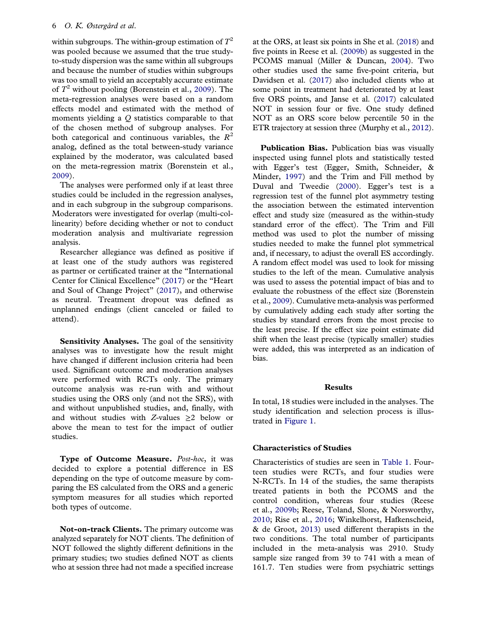### <span id="page-6-0"></span>6 O. K. Østergård et al.

within subgroups. The within-group estimation of  $T^2$ was pooled because we assumed that the true studyto-study dispersion was the same within all subgroups and because the number of studies within subgroups was too small to yield an acceptably accurate estimate of  $T^2$  without pooling (Borenstein et al., [2009](#page-13-0)). The meta-regression analyses were based on a random effects model and estimated with the method of moments yielding a  $Q$  statistics comparable to that of the chosen method of subgroup analyses. For both categorical and continuous variables, the  $R^2$ analog, defined as the total between-study variance explained by the moderator, was calculated based on the meta-regression matrix (Borenstein et al., [2009\)](#page-13-0).

The analyses were performed only if at least three studies could be included in the regression analyses, and in each subgroup in the subgroup comparisons. Moderators were investigated for overlap (multi-collinearity) before deciding whether or not to conduct moderation analysis and multivariate regression analysis.

Researcher allegiance was defined as positive if at least one of the study authors was registered as partner or certificated trainer at the "International Center for Clinical Excellence" ([2017](#page-14-0)) or the "Heart and Soul of Change Project" ([2017](#page-14-0)), and otherwise as neutral. Treatment dropout was defined as unplanned endings (client canceled or failed to attend).

Sensitivity Analyses. The goal of the sensitivity analyses was to investigate how the result might have changed if different inclusion criteria had been used. Significant outcome and moderation analyses were performed with RCTs only. The primary outcome analysis was re-run with and without studies using the ORS only (and not the SRS), with and without unpublished studies, and, finally, with and without studies with Z-values  $\geq 2$  below or above the mean to test for the impact of outlier studies.

Type of Outcome Measure. Post-hoc, it was decided to explore a potential difference in ES depending on the type of outcome measure by comparing the ES calculated from the ORS and a generic symptom measures for all studies which reported both types of outcome.

Not-on-track Clients. The primary outcome was analyzed separately for NOT clients. The definition of NOT followed the slightly different definitions in the primary studies; two studies defined NOT as clients who at session three had not made a specified increase

at the ORS, at least six points in She et al. ([2018\)](#page-15-0) and five points in Reese et al. [\(2009b](#page-15-0)) as suggested in the PCOMS manual (Miller & Duncan, [2004\)](#page-15-0). Two other studies used the same five-point criteria, but Davidsen et al. [\(2017\)](#page-14-0) also included clients who at some point in treatment had deteriorated by at least five ORS points, and Janse et al. [\(2017](#page-14-0)) calculated NOT in session four or five. One study defined NOT as an ORS score below percentile 50 in the ETR trajectory at session three (Murphy et al., [2012\)](#page-15-0).

Publication Bias. Publication bias was visually inspected using funnel plots and statistically tested with Egger's test (Egger, Smith, Schneider, & Minder, [1997](#page-14-0)) and the Trim and Fill method by Duval and Tweedie ([2000](#page-14-0)). Egger's test is a regression test of the funnel plot asymmetry testing the association between the estimated intervention effect and study size (measured as the within-study standard error of the effect). The Trim and Fill method was used to plot the number of missing studies needed to make the funnel plot symmetrical and, if necessary, to adjust the overall ES accordingly. A random effect model was used to look for missing studies to the left of the mean. Cumulative analysis was used to assess the potential impact of bias and to evaluate the robustness of the effect size (Borenstein et al., [2009](#page-13-0)). Cumulative meta-analysis was performed by cumulatively adding each study after sorting the studies by standard errors from the most precise to the least precise. If the effect size point estimate did shift when the least precise (typically smaller) studies were added, this was interpreted as an indication of bias.

### Results

In total, 18 studies were included in the analyses. The study identification and selection process is illustrated in [Figure 1](#page-7-0).

### Characteristics of Studies

Characteristics of studies are seen in [Table 1](#page-8-0). Fourteen studies were RCTs, and four studies were N-RCTs. In 14 of the studies, the same therapists treated patients in both the PCOMS and the control condition, whereas four studies (Reese et al., [2009b](#page-15-0); Reese, Toland, Slone, & Norsworthy, [2010;](#page-15-0) Rise et al., [2016;](#page-15-0) Winkelhorst, Hafkenscheid, & de Groot, [2013\)](#page-15-0) used different therapists in the two conditions. The total number of participants included in the meta-analysis was 2910. Study sample size ranged from 39 to 741 with a mean of 161.7. Ten studies were from psychiatric settings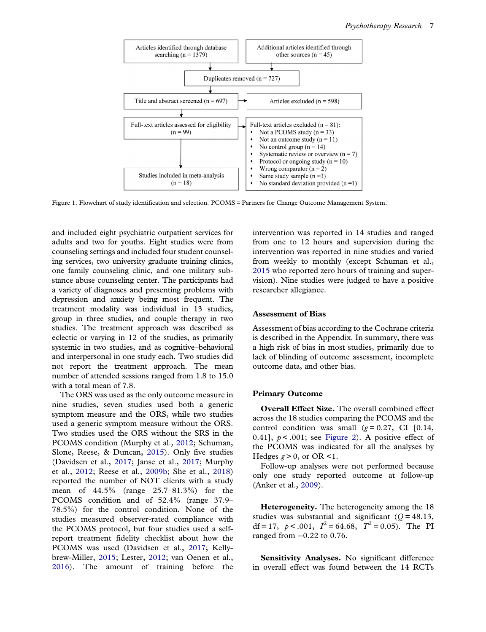<span id="page-7-0"></span>

Figure 1. Flowchart of study identification and selection. PCOMS = Partners for Change Outcome Management System.

and included eight psychiatric outpatient services for adults and two for youths. Eight studies were from counseling settings and included four student counseling services, two university graduate training clinics, one family counseling clinic, and one military substance abuse counseling center. The participants had a variety of diagnoses and presenting problems with depression and anxiety being most frequent. The treatment modality was individual in 13 studies, group in three studies, and couple therapy in two studies. The treatment approach was described as eclectic or varying in 12 of the studies, as primarily systemic in two studies, and as cognitive–behavioral and interpersonal in one study each. Two studies did not report the treatment approach. The mean number of attended sessions ranged from 1.8 to 15.0 with a total mean of 7.8.

The ORS was used as the only outcome measure in nine studies, seven studies used both a generic symptom measure and the ORS, while two studies used a generic symptom measure without the ORS. Two studies used the ORS without the SRS in the PCOMS condition (Murphy et al., [2012;](#page-15-0) Schuman, Slone, Reese, & Duncan, [2015\)](#page-15-0). Only five studies (Davidsen et al., [2017](#page-14-0); Janse et al., [2017](#page-14-0); Murphy et al., [2012;](#page-15-0) Reese et al., [2009b;](#page-15-0) She et al., [2018\)](#page-15-0) reported the number of NOT clients with a study mean of 44.5% (range 25.7–81.3%) for the PCOMS condition and of 52.4% (range 37.9– 78.5%) for the control condition. None of the studies measured observer-rated compliance with the PCOMS protocol, but four studies used a selfreport treatment fidelity checklist about how the PCOMS was used (Davidsen et al., [2017](#page-14-0); Kellybrew-Miller, [2015](#page-14-0); Lester, [2012;](#page-15-0) van Oenen et al., [2016\)](#page-15-0). The amount of training before the

intervention was reported in 14 studies and ranged from one to 12 hours and supervision during the intervention was reported in nine studies and varied from weekly to monthly (except Schuman et al., [2015](#page-15-0) who reported zero hours of training and supervision). Nine studies were judged to have a positive researcher allegiance.

### Assessment of Bias

Assessment of bias according to the Cochrane criteria is described in the Appendix. In summary, there was a high risk of bias in most studies, primarily due to lack of blinding of outcome assessment, incomplete outcome data, and other bias.

### Primary Outcome

Overall Effect Size. The overall combined effect across the 18 studies comparing the PCOMS and the control condition was small  $(g=0.27, \text{ CI}$  [0.14, 0.41],  $p < .001$ ; see [Figure 2\)](#page-10-0). A positive effect of the PCOMS was indicated for all the analyses by Hedges  $g > 0$ , or OR <1.

Follow-up analyses were not performed because only one study reported outcome at follow-up (Anker et al., [2009\)](#page-13-0).

Heterogeneity. The heterogeneity among the 18 studies was substantial and significant  $(O = 48.13,$ df = 17,  $p < .001$ ,  $I^2 = 64.68$ ,  $T^2 = 0.05$ ). The PI ranged from −0.22 to 0.76.

Sensitivity Analyses. No significant difference in overall effect was found between the 14 RCTs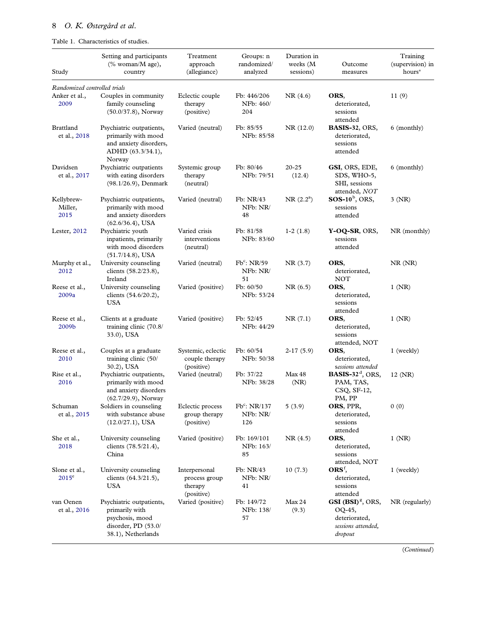### <span id="page-8-0"></span>Table 1. Characteristics of studies.

| Study                           | Setting and participants<br>(% woman/M age),<br>country                                                    | Treatment<br>approach<br>(allegiance)                   | Groups: n<br>randomized/<br>analyzed        | Duration in<br>weeks (M<br>sessions) | Outcome<br>measures                                                              | Training<br>(supervision) in<br>hours* |  |
|---------------------------------|------------------------------------------------------------------------------------------------------------|---------------------------------------------------------|---------------------------------------------|--------------------------------------|----------------------------------------------------------------------------------|----------------------------------------|--|
| Randomized controlled trials    |                                                                                                            |                                                         |                                             |                                      |                                                                                  |                                        |  |
| Anker et al.,<br>2009           | Couples in community<br>family counseling<br>(50.0/37.8), Norway                                           | Eclectic couple<br>therapy<br>(positive)                | Fb: 446/206<br>NFb: 460/<br>204             | NR(4.6)                              | ORS,<br>deteriorated,<br>sessions<br>attended                                    | 11(9)                                  |  |
| Brattland<br>et al., 2018       | Psychiatric outpatients,<br>primarily with mood<br>and anxiety disorders,<br>ADHD (63.3/34.1),<br>Norway   | Varied (neutral)                                        | Fb: 85/55<br>NFb: 85/58                     | NR (12.0)                            | BASIS-32, ORS,<br>deteriorated,<br>sessions<br>attended                          | 6 (monthly)                            |  |
| Davidsen<br>et al., 2017        | Psychiatric outpatients<br>with eating disorders<br>$(98.1/26.9)$ , Denmark                                | Systemic group<br>therapy<br>(neutral)                  | Fb: 80/46<br>NFb: 79/51                     | $20 - 25$<br>(12.4)                  | GSI, ORS, EDE,<br>SDS, WHO-5,<br>SHI, sessions<br>attended, NOT                  | 6 (monthly)                            |  |
| Kellybrew-<br>Miller,<br>2015   | Psychiatric outpatients,<br>primarily with mood<br>and anxiety disorders<br>$(62.6/36.4)$ , USA            | Varied (neutral)                                        | Fb: NR/43<br>NFb: NR/<br>48                 | $NR(2.2^a)$                          | $SOS-10^{\rm b}$ , ORS,<br>sessions<br>attended                                  | $3$ (NR)                               |  |
| Lester, 2012                    | Psychiatric youth<br>inpatients, primarily<br>with mood disorders<br>$(51.7/14.8)$ , USA                   | Varied crisis<br>interventions<br>(neutral)             | Fb: 81/58<br>NFb: 83/60                     | $1-2(1.8)$                           | Y-OQ-SR, ORS,<br>sessions<br>attended                                            | NR (monthly)                           |  |
| Murphy et al.,<br>2012          | University counseling<br>clients (58.2/23.8),<br>Ireland                                                   | Varied (neutral)                                        | $Fb^c$ : NR/59<br>NFb: NR/<br>51            | NR(3.7)                              | ORS,<br>deteriorated,<br><b>NOT</b>                                              | $NR$ $(NR)$                            |  |
| Reese et al.,<br>2009a          | University counseling<br>clients (54.6/20.2),<br><b>USA</b>                                                | Varied (positive)                                       | Fb: 60/50<br>NFb: 53/24                     | NR(6.5)                              | ORS,<br>deteriorated,<br>sessions<br>attended                                    | $1$ (NR)                               |  |
| Reese et al.,<br>2009b          | Clients at a graduate<br>training clinic (70.8/<br>33.0), USA                                              | Varied (positive)                                       | Fb: 52/45<br>NFb: 44/29                     | NR(7.1)                              | ORS,<br>deteriorated,<br>sessions<br>attended, NOT                               | $1$ (NR)                               |  |
| Reese et al.,<br>2010           | Couples at a graduate<br>training clinic (50/<br>30.2), USA                                                | Systemic, eclectic<br>couple therapy<br>(positive)      | Fb: 60/54<br>NFb: 50/38                     | $2-17(5.9)$                          | ORS,<br>deteriorated,<br>sessions attended                                       | 1 (weekly)                             |  |
| Rise et al.,<br>2016            | Psychiatric outpatients,<br>primarily with mood<br>and anxiety disorders<br>$(62.7/29.9)$ , Norway         | Varied (neutral)                                        | Fb: 37/22<br>NFb: 38/28                     | Max 48<br>(NR)                       | BASIS-32 $d$ , ORS,<br>PAM, TAS,<br>CSQ, SF-12,<br>PM, PP                        | 12 (NR)                                |  |
| Schuman<br>et al., 2015         | Soldiers in counseling<br>with substance abuse<br>$(12.0/27.1)$ , USA                                      | Eclectic process<br>group therapy<br>(positive)         | Fb <sup>c</sup> : NR/137<br>NFb: NR/<br>126 | 5(3.9)                               | ORS, PPR,<br>deteriorated,<br>sessions<br>attended                               | 0(0)                                   |  |
| She et al.,<br>2018             | University counseling<br>clients (78.5/21.4),<br>China                                                     | Varied (positive)                                       | Fb: 169/101<br>NFb: 163/<br>85              | NR(4.5)                              | ORS,<br>deteriorated,<br>sessions<br>attended, NOT                               | $1$ (NR)                               |  |
| Slone et al.,<br>$2015^{\circ}$ | University counseling<br>clients (64.3/21.5),<br><b>USA</b>                                                | Interpersonal<br>process group<br>therapy<br>(positive) | Fb: NR/43<br>NFb: NR/<br>41                 | 10(7.3)                              | $ORSf$ ,<br>deteriorated,<br>sessions<br>attended                                | 1 (weekly)                             |  |
| van Oenen<br>et al., 2016       | Psychiatric outpatients,<br>primarily with<br>psychosis, mood<br>disorder, PD (53.0/<br>38.1), Netherlands | Varied (positive)                                       | Fb: 149/72<br>NFb: 138/<br>57               | Max 24<br>(9.3)                      | GSI $(BSI)^g$ , ORS,<br>OQ-45,<br>deteriorated,<br>sessions attended,<br>dropout | $NR$ (regularly)                       |  |

(Continued)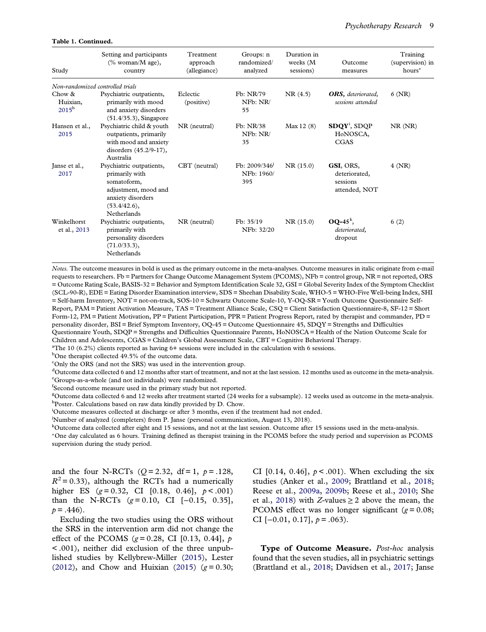### <span id="page-9-0"></span>Table 1. Continued.

| Study                                   | Setting and participants<br>$(\%$ woman/M age),<br>country                                                                                   | Treatment<br>approach<br>(allegiance) | Groups: n<br>randomized/<br>analyzed           | Duration in<br>weeks (M<br>sessions) | Outcome<br>measures                                     | Training<br>(supervision) in<br>$hours*$ |
|-----------------------------------------|----------------------------------------------------------------------------------------------------------------------------------------------|---------------------------------------|------------------------------------------------|--------------------------------------|---------------------------------------------------------|------------------------------------------|
| Non-randomized controlled trials        |                                                                                                                                              |                                       |                                                |                                      |                                                         |                                          |
| Chow $\&$<br>Huixian,<br>$2015^{\rm h}$ | Psychiatric outpatients,<br>primarily with mood<br>and anxiety disorders<br>$(51.4/35.3)$ , Singapore                                        | Eclectic<br>(positive)                | Fb: NR/79<br>NFb: NR/<br>55                    | NR(4.5)                              | <b>ORS</b> , deteriorated,<br>sessions attended         | $6$ (NR)                                 |
| Hansen et al.,<br>2015                  | Psychiatric child & youth<br>outpatients, primarily<br>with mood and anxiety<br>disorders (45.2/9-17),<br>Australia                          | NR (neutral)                          | Fb: NR/38<br>NFb: NR/<br>35                    | Max $12(8)$                          | $SDQY^i$ , $SDQP$<br>H <sub>o</sub> NOSCA,<br>CGAS      | $NR$ $(NR)$                              |
| Janse et al.,<br>2017                   | Psychiatric outpatients,<br>primarily with<br>somatoform,<br>adjustment, mood and<br>anxiety disorders<br>(53.4/42.6),<br><b>Netherlands</b> | CBT (neutral)                         | Fb: 2009/346 <sup>1</sup><br>NFb: 1960/<br>395 | NR(15.0)                             | GSI, ORS,<br>deteriorated,<br>sessions<br>attended, NOT | 4 (NR)                                   |
| Winkelhorst<br>et al., 2013             | Psychiatric outpatients,<br>primarily with<br>personality disorders<br>(71.0/33.3),<br>Netherlands                                           | NR (neutral)                          | Fb: 35/19<br>NFb: 32/20                        | NR(15.0)                             | $OQ-45^k$ ,<br>deteriorated,<br>dropout                 | 6(2)                                     |

Notes. The outcome measures in bold is used as the primary outcome in the meta-analyses. Outcome measures in italic originate from e-mail requests to researchers. Fb = Partners for Change Outcome Management System (PCOMS), NFb = control group, NR = not reported, ORS = Outcome Rating Scale, BASIS-32 = Behavior and Symptom Identification Scale 32, GSI = Global Severity Index of the Symptom Checklist (SCL-90-R), EDE = Eating Disorder Examination interview, SDS = Sheehan Disability Scale, WHO-5 = WHO-Five Well-being Index, SHI = Self-harm Inventory, NOT = not-on-track, SOS-10 = Schwartz Outcome Scale-10, Y-OQ-SR = Youth Outcome Questionnaire Self-Report, PAM = Patient Activation Measure, TAS = Treatment Alliance Scale, CSQ = Client Satisfaction Questionnaire-8, SF-12 = Short Form-12, PM = Patient Motivation, PP = Patient Participation, PPR = Patient Progress Report, rated by therapist and commander, PD = personality disorder, BSI = Brief Symptom Inventory, OQ-45 = Outcome Questionnaire 45, SDQY = Strengths and Difficulties

Questionnaire Youth, SDQP = Strengths and Difficulties Questionnaire Parents, HoNOSCA = Health of the Nation Outcome Scale for Children and Adolescents, CGAS = Children's Global Assessment Scale, CBT = Cognitive Behavioral Therapy.

<sup>a</sup>The 10 (6.2%) clients reported as having 6+ sessions were included in the calculation with 6 sessions.

<sup>b</sup>One therapist collected 49.5% of the outcome data.

<sup>c</sup>Only the ORS (and not the SRS) was used in the intervention group.

 $^{\text{d}}$ Outcome data collected 6 and 12 months after start of treatment, and not at the last session. 12 months used as outcome in the meta-analysis. e Groups-as-a-whole (and not individuals) were randomized.

<sup>f</sup>Second outcome measure used in the primary study but not reported.

<sup>g</sup>Outcome data collected 6 and 12 weeks after treatment started (24 weeks for a subsample). 12 weeks used as outcome in the meta-analysis. <sup>h</sup>Poster. Calculations based on raw data kindly provided by D. Chow.

<sup>i</sup>Outcome measures collected at discharge or after 3 months, even if the treatment had not ended.

j Number of analyzed (completers) from P. Janse (personal communication, August 13, 2018).

<sup>k</sup>Outcome data collected after eight and 15 sessions, and not at the last session. Outcome after 15 sessions used in the meta-analysis.

<sup>∗</sup>One day calculated as 6 hours. Training defined as therapist training in the PCOMS before the study period and supervision as PCOMS supervision during the study period.

and the four N-RCTs ( $Q = 2.32$ , df = 1,  $p = .128$ ,  $R^2$  = 0.33), although the RCTs had a numerically higher ES  $(g=0.32, \text{CI} [0.18, 0.46], p<.001)$ than the N-RCTs  $(g=0.10, \text{ CI} [-0.15, 0.35],$  $p = .446$ .

Excluding the two studies using the ORS without the SRS in the intervention arm did not change the effect of the PCOMS ( $g = 0.28$ , CI [0.13, 0.44], p < .001), neither did exclusion of the three unpublished studies by Kellybrew-Miller [\(2015](#page-14-0)), Lester ([2012\)](#page-15-0), and Chow and Huixian ([2015](#page-14-0))  $(g=0.30;$ 

CI [0.14, 0.46],  $p < .001$ ). When excluding the six studies (Anker et al., [2009](#page-13-0); Brattland et al., [2018](#page-13-0); Reese et al., [2009a](#page-15-0), [2009b](#page-15-0); Reese et al., [2010](#page-15-0); She et al., [2018](#page-15-0)) with Z-values  $\geq 2$  above the mean, the PCOMS effect was no longer significant ( $g = 0.08$ ; CI  $[-0.01, 0.17]$ ,  $p = .063$ ).

Type of Outcome Measure. Post-hoc analysis found that the seven studies, all in psychiatric settings (Brattland et al., [2018;](#page-13-0) Davidsen et al., [2017](#page-14-0); Janse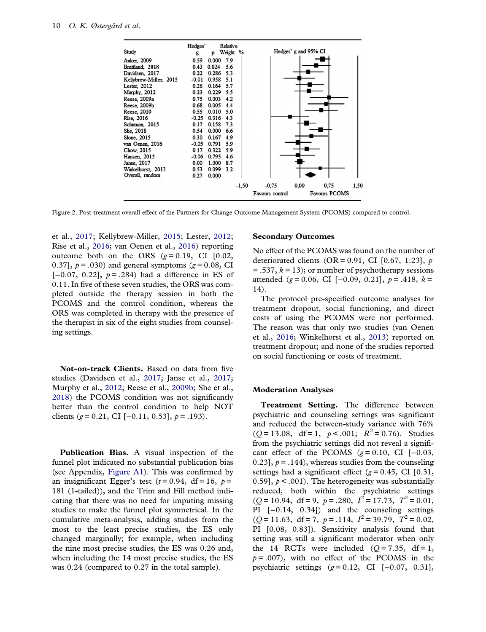<span id="page-10-0"></span>

| Study                  | Hedges'<br>g | p     | Relative<br>Weight % |         |                 |      | Hedges' g and 95% CI |      |
|------------------------|--------------|-------|----------------------|---------|-----------------|------|----------------------|------|
| Anker, 2009            | 0.59         | 0.000 | 7.9                  |         |                 |      |                      |      |
| Brattland, 2018        | 0.43         | 0.024 | 5.6                  |         |                 |      |                      |      |
| Davidsen, 2017         | 0.22         | 0.286 | 5.3                  |         |                 |      |                      |      |
| Kellybrew-Miller, 2015 | $-0.01$      | 0.958 | 5.1                  |         |                 |      |                      |      |
| Lester, 2012           | 0.26         | 0.164 | 5.7                  |         |                 |      |                      |      |
| Murphy, 2012           | 0.23         | 0.229 | 5.5                  |         |                 |      |                      |      |
| Reese, 2009a           | 0.75         | 0.003 | 4.2                  |         |                 |      |                      |      |
| Reese, 2009b           | 0.68         | 0.005 | 4.4                  |         |                 |      |                      |      |
| Reese, 2010            | 0.55         | 0.010 | 5.0                  |         |                 |      |                      |      |
| Rise, 2016             | $-0.25$      | 0.316 | 4.3                  |         |                 |      |                      |      |
| Schuman, 2015          | 0.17         | 0.158 | 7.3                  |         |                 |      |                      |      |
| She, 2018              | 0.54         | 0.000 | 6.6                  |         |                 |      |                      |      |
| Slone, 2015            | 0.30         | 0.167 | 4.9                  |         |                 |      |                      |      |
| van Oenen, 2016        | $-0.05$      | 0.791 | 5.9                  |         |                 |      |                      |      |
| Chow, 2015             | 0.17         | 0.322 | 5.9                  |         |                 |      |                      |      |
| Hansen, 2015           | $-0.06$      | 0.795 | 4.6                  |         |                 |      |                      |      |
| Janse, 2017            | 0.00         | 1.000 | 8.7                  |         |                 |      |                      |      |
| Winkelhorst, 2013      | 0.53         | 0.099 | 3.2                  |         |                 |      |                      |      |
| Overall, random        | 0.27         | 0.000 |                      |         |                 |      |                      |      |
|                        |              |       |                      | $-1.50$ | $-0.75$         | 0.00 | 0.75                 | 1,50 |
|                        |              |       |                      |         | Favours control |      | Favours PCOMS        |      |

Figure 2. Post-treatment overall effect of the Partners for Change Outcome Management System (PCOMS) compared to control.

et al., [2017;](#page-14-0) Kellybrew-Miller, [2015;](#page-14-0) Lester, [2012;](#page-15-0) Rise et al., [2016](#page-15-0); van Oenen et al., [2016](#page-15-0)) reporting outcome both on the ORS  $(g=0.19, \text{ CI}$  [0.02, 0.37],  $p = .030$  and general symptoms ( $g = 0.08$ , CI [ $-0.07$ ,  $0.22$ ],  $p = .284$ ) had a difference in ES of 0.11. In five of these seven studies, the ORS was completed outside the therapy session in both the PCOMS and the control condition, whereas the ORS was completed in therapy with the presence of the therapist in six of the eight studies from counseling settings.

Not-on-track Clients. Based on data from five studies (Davidsen et al., [2017;](#page-14-0) Janse et al., [2017;](#page-14-0) Murphy et al., [2012](#page-15-0); Reese et al., [2009b;](#page-15-0) She et al., [2018\)](#page-15-0) the PCOMS condition was not significantly better than the control condition to help NOT clients (g = 0.21, CI [-0.11, 0.53],  $p = .193$ ).

Publication Bias. A visual inspection of the funnel plot indicated no substantial publication bias (see Appendix, [Figure A1](#page-18-0)). This was confirmed by an insignificant Egger's test  $(t = 0.94, df = 16, p = 10$ 181 (1-tailed)), and the Trim and Fill method indicating that there was no need for imputing missing studies to make the funnel plot symmetrical. In the cumulative meta-analysis, adding studies from the most to the least precise studies, the ES only changed marginally; for example, when including the nine most precise studies, the ES was 0.26 and, when including the 14 most precise studies, the ES was 0.24 (compared to 0.27 in the total sample).

### Secondary Outcomes

No effect of the PCOMS was found on the number of deteriorated clients (OR = 0.91, CI [0.67, 1.23],  $p$  $=$  .537,  $k = 13$ ); or number of psychotherapy sessions attended (g = 0.06, CI [-0.09, 0.21],  $p = .418$ ,  $k =$ 14).

The protocol pre-specified outcome analyses for treatment dropout, social functioning, and direct costs of using the PCOMS were not performed. The reason was that only two studies (van Oenen et al., [2016](#page-15-0); Winkelhorst et al., [2013](#page-15-0)) reported on treatment dropout; and none of the studies reported on social functioning or costs of treatment.

### Moderation Analyses

Treatment Setting. The difference between psychiatric and counseling settings was significant and reduced the between-study variance with 76%  $(Q=13.08, df=1, p<.001; R<sup>2</sup>=0.76)$ . Studies from the psychiatric settings did not reveal a significant effect of the PCOMS  $(g=0.10, \text{ CI } [-0.03,$ 0.23],  $p = .144$ , whereas studies from the counseling settings had a significant effect ( $g = 0.45$ , CI [0.31, 0.59],  $p < .001$ ). The heterogeneity was substantially reduced, both within the psychiatric settings  $(Q=10.94, df=9, p=.280, I<sup>2</sup>=17.73, T<sup>2</sup>=0.01,$ PI [−0.14, 0.34]) and the counseling settings  $(Q=11.63, df=7, p=.114, I^2=39.79, T^2=0.02,$ PI [0.08, 0.83]). Sensitivity analysis found that setting was still a significant moderator when only the 14 RCTs were included  $(Q=7.35, df=1,$  $p = .007$ , with no effect of the PCOMS in the psychiatric settings  $(g = 0.12, \text{ CI} [-0.07, 0.31],$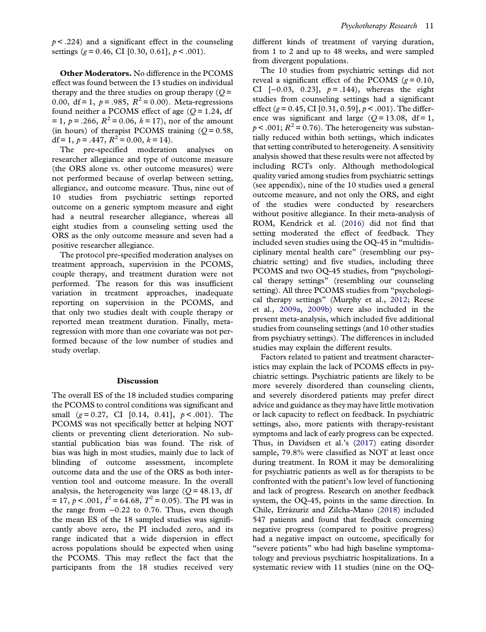<span id="page-11-0"></span> $p \le 0.224$  and a significant effect in the counseling settings ( $g = 0.46$ , CI [0.30, 0.61],  $p < .001$ ).

Other Moderators. No difference in the PCOMS effect was found between the 13 studies on individual therapy and the three studies on group therapy  $(O =$ 0.00, df = 1,  $p = .985$ ,  $R^2 = 0.00$ ). Meta-regressions found neither a PCOMS effect of age  $(O=1.24, df)$  $= 1, p = .266, R<sup>2</sup> = 0.06, k = 17$ , nor of the amount (in hours) of therapist PCOMS training  $(Q = 0.58$ , df = 1,  $p = .447$ ,  $R^2 = 0.00$ ,  $k = 14$ ).

The pre-specified moderation analyses on researcher allegiance and type of outcome measure (the ORS alone vs. other outcome measures) were not performed because of overlap between setting, allegiance, and outcome measure. Thus, nine out of 10 studies from psychiatric settings reported outcome on a generic symptom measure and eight had a neutral researcher allegiance, whereas all eight studies from a counseling setting used the ORS as the only outcome measure and seven had a positive researcher allegiance.

The protocol pre-specified moderation analyses on treatment approach, supervision in the PCOMS, couple therapy, and treatment duration were not performed. The reason for this was insufficient variation in treatment approaches, inadequate reporting on supervision in the PCOMS, and that only two studies dealt with couple therapy or reported mean treatment duration. Finally, metaregression with more than one covariate was not performed because of the low number of studies and study overlap.

### Discussion

The overall ES of the 18 included studies comparing the PCOMS to control conditions was significant and small  $(g=0.27, \text{ CI} [0.14, 0.41], p<.001)$ . The PCOMS was not specifically better at helping NOT clients or preventing client deterioration. No substantial publication bias was found. The risk of bias was high in most studies, mainly due to lack of blinding of outcome assessment, incomplete outcome data and the use of the ORS as both intervention tool and outcome measure. In the overall analysis, the heterogeneity was large  $(Q = 48.13, df)$  $= 17, p < .001, I^2 = 64.68, T^2 = 0.05$ ). The PI was in the range from −0.22 to 0.76. Thus, even though the mean ES of the 18 sampled studies was significantly above zero, the PI included zero, and its range indicated that a wide dispersion in effect across populations should be expected when using the PCOMS. This may reflect the fact that the participants from the 18 studies received very different kinds of treatment of varying duration, from 1 to 2 and up to 48 weeks, and were sampled from divergent populations.

The 10 studies from psychiatric settings did not reveal a significant effect of the PCOMS ( $g = 0.10$ , CI [-0.03, 0.23],  $p = .144$ ), whereas the eight studies from counseling settings had a significant effect (g = 0.45, CI [0.31, 0.59],  $p < .001$ ). The difference was significant and large ( $Q = 13.08$ , df = 1,  $p < .001$ ;  $R^2 = 0.76$ ). The heterogeneity was substantially reduced within both settings, which indicates that setting contributed to heterogeneity. A sensitivity analysis showed that these results were not affected by including RCTs only. Although methodological quality varied among studies from psychiatric settings (see appendix), nine of the 10 studies used a general outcome measure, and not only the ORS, and eight of the studies were conducted by researchers without positive allegiance. In their meta-analysis of ROM, Kendrick et al. ([2016\)](#page-14-0) did not find that setting moderated the effect of feedback. They included seven studies using the OQ-45 in "multidisciplinary mental health care" (resembling our psychiatric setting) and five studies, including three PCOMS and two OQ-45 studies, from "psychological therapy settings" (resembling our counseling setting). All three PCOMS studies from "psychological therapy settings" (Murphy et al., [2012](#page-15-0); Reese et al., [2009a,](#page-15-0) [2009b](#page-15-0)) were also included in the present meta-analysis, which included five additional studies from counseling settings (and 10 other studies from psychiatry settings). The differences in included studies may explain the different results.

Factors related to patient and treatment characteristics may explain the lack of PCOMS effects in psychiatric settings. Psychiatric patients are likely to be more severely disordered than counseling clients, and severely disordered patients may prefer direct advice and guidance as they may have little motivation or lack capacity to reflect on feedback. In psychiatric settings, also, more patients with therapy-resistant symptoms and lack of early progress can be expected. Thus, in Davidsen et al.'s ([2017](#page-14-0)) eating disorder sample, 79.8% were classified as NOT at least once during treatment. In ROM it may be demoralizing for psychiatric patients as well as for therapists to be confronted with the patient's low level of functioning and lack of progress. Research on another feedback system, the OQ-45, points in the same direction. In Chile, Errázuriz and Zilcha-Mano ([2018](#page-14-0)) included 547 patients and found that feedback concerning negative progress (compared to positive progress) had a negative impact on outcome, specifically for "severe patients" who had high baseline symptomatology and previous psychiatric hospitalizations. In a systematic review with 11 studies (nine on the OQ-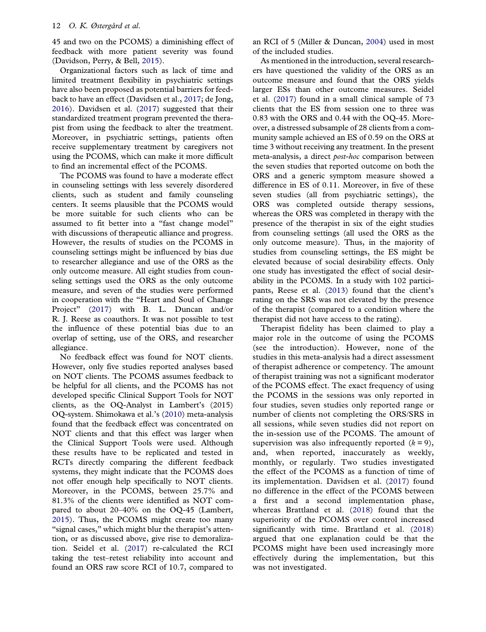<span id="page-12-0"></span>45 and two on the PCOMS) a diminishing effect of feedback with more patient severity was found (Davidson, Perry, & Bell, [2015\)](#page-14-0).

Organizational factors such as lack of time and limited treatment flexibility in psychiatric settings have also been proposed as potential barriers for feedback to have an effect (Davidsen et al., [2017](#page-14-0); de Jong, [2016\)](#page-14-0). Davidsen et al. ([2017](#page-14-0)) suggested that their standardized treatment program prevented the therapist from using the feedback to alter the treatment. Moreover, in psychiatric settings, patients often receive supplementary treatment by caregivers not using the PCOMS, which can make it more difficult to find an incremental effect of the PCOMS.

The PCOMS was found to have a moderate effect in counseling settings with less severely disordered clients, such as student and family counseling centers. It seems plausible that the PCOMS would be more suitable for such clients who can be assumed to fit better into a "fast change model" with discussions of therapeutic alliance and progress. However, the results of studies on the PCOMS in counseling settings might be influenced by bias due to researcher allegiance and use of the ORS as the only outcome measure. All eight studies from counseling settings used the ORS as the only outcome measure, and seven of the studies were performed in cooperation with the "Heart and Soul of Change Project" ([2017](#page-14-0)) with B. L. Duncan and/or R. J. Reese as coauthors. It was not possible to test the influence of these potential bias due to an overlap of setting, use of the ORS, and researcher allegiance.

No feedback effect was found for NOT clients. However, only five studies reported analyses based on NOT clients. The PCOMS assumes feedback to be helpful for all clients, and the PCOMS has not developed specific Clinical Support Tools for NOT clients, as the OQ-Analyst in Lambert's (2015) OQ-system. Shimokawa et al.'s [\(2010](#page-15-0)) meta-analysis found that the feedback effect was concentrated on NOT clients and that this effect was larger when the Clinical Support Tools were used. Although these results have to be replicated and tested in RCTs directly comparing the different feedback systems, they might indicate that the PCOMS does not offer enough help specifically to NOT clients. Moreover, in the PCOMS, between 25.7% and 81.3% of the clients were identified as NOT compared to about 20–40% on the OQ-45 (Lambert, [2015\)](#page-15-0). Thus, the PCOMS might create too many "signal cases," which might blur the therapist's attention, or as discussed above, give rise to demoralization. Seidel et al. ([2017](#page-15-0)) re-calculated the RCI taking the test–retest reliability into account and found an ORS raw score RCI of 10.7, compared to

an RCI of 5 (Miller & Duncan, [2004\)](#page-15-0) used in most of the included studies.

As mentioned in the introduction, several researchers have questioned the validity of the ORS as an outcome measure and found that the ORS yields larger ESs than other outcome measures. Seidel et al. ([2017](#page-15-0)) found in a small clinical sample of 73 clients that the ES from session one to three was 0.83 with the ORS and 0.44 with the OQ-45. Moreover, a distressed subsample of 28 clients from a community sample achieved an ES of 0.59 on the ORS at time 3 without receiving any treatment. In the present meta-analysis, a direct *post-hoc* comparison between the seven studies that reported outcome on both the ORS and a generic symptom measure showed a difference in ES of 0.11. Moreover, in five of these seven studies (all from psychiatric settings), the ORS was completed outside therapy sessions, whereas the ORS was completed in therapy with the presence of the therapist in six of the eight studies from counseling settings (all used the ORS as the only outcome measure). Thus, in the majority of studies from counseling settings, the ES might be elevated because of social desirability effects. Only one study has investigated the effect of social desirability in the PCOMS. In a study with 102 participants, Reese et al. [\(2013\)](#page-15-0) found that the client's rating on the SRS was not elevated by the presence of the therapist (compared to a condition where the therapist did not have access to the rating).

Therapist fidelity has been claimed to play a major role in the outcome of using the PCOMS (see the introduction). However, none of the studies in this meta-analysis had a direct assessment of therapist adherence or competency. The amount of therapist training was not a significant moderator of the PCOMS effect. The exact frequency of using the PCOMS in the sessions was only reported in four studies, seven studies only reported range or number of clients not completing the ORS/SRS in all sessions, while seven studies did not report on the in-session use of the PCOMS. The amount of supervision was also infrequently reported  $(k = 9)$ , and, when reported, inaccurately as weekly, monthly, or regularly. Two studies investigated the effect of the PCOMS as a function of time of its implementation. Davidsen et al. ([2017\)](#page-14-0) found no difference in the effect of the PCOMS between a first and a second implementation phase, whereas Brattland et al. [\(2018](#page-13-0)) found that the superiority of the PCOMS over control increased significantly with time. Brattland et al. [\(2018\)](#page-13-0) argued that one explanation could be that the PCOMS might have been used increasingly more effectively during the implementation, but this was not investigated.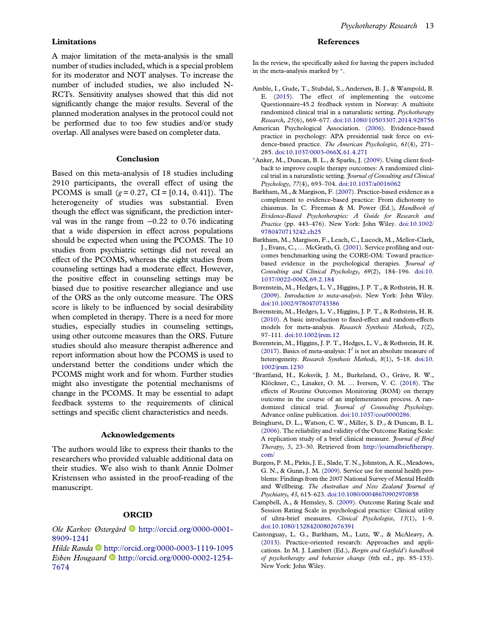<span id="page-13-0"></span>A major limitation of the meta-analysis is the small number of studies included, which is a special problem for its moderator and NOT analyses. To increase the number of included studies, we also included N-RCTs. Sensitivity analyses showed that this did not significantly change the major results. Several of the planned moderation analyses in the protocol could not be performed due to too few studies and/or study overlap. All analyses were based on completer data.

### Conclusion

Based on this meta-analysis of 18 studies including 2910 participants, the overall effect of using the PCOMS is small  $(g = 0.27, CI = [0.14, 0.41])$ . The heterogeneity of studies was substantial. Even though the effect was significant, the prediction interval was in the range from  $-0.22$  to 0.76 indicating that a wide dispersion in effect across populations should be expected when using the PCOMS. The 10 studies from psychiatric settings did not reveal an effect of the PCOMS, whereas the eight studies from counseling settings had a moderate effect. However, the positive effect in counseling settings may be biased due to positive researcher allegiance and use of the ORS as the only outcome measure. The ORS score is likely to be influenced by social desirability when completed in therapy. There is a need for more studies, especially studies in counseling settings, using other outcome measures than the ORS. Future studies should also measure therapist adherence and report information about how the PCOMS is used to understand better the conditions under which the PCOMS might work and for whom. Further studies might also investigate the potential mechanisms of change in the PCOMS. It may be essential to adapt feedback systems to the requirements of clinical settings and specific client characteristics and needs.

### Acknowledgements

The authors would like to express their thanks to the researchers who provided valuable additional data on their studies. We also wish to thank Annie Dolmer Kristensen who assisted in the proof-reading of the manuscript.

### **ORCID**

Ole Karkov Østergård <sup>D</sup> [http://orcid.org/0000-0001-](http://orcid.org/0000-0001-8909-1241) [8909-1241](http://orcid.org/0000-0001-8909-1241)

Hilde Randa **<http://orcid.org/0000-0003-1119-1095>** Esben Hougaard  $\blacksquare$  [http://orcid.org/0000-0002-1254-](http://orcid.org/0000-0002-1254-7674) [7674](http://orcid.org/0000-0002-1254-7674)

### References

In the review, the specifically asked for having the papers included in the meta-analysis marked by <sup>∗</sup>.

- Amble, I., Gude, T., Stubdal, S., Andersen, B. J., & Wampold, B. E. ([2015](#page-2-0)). The effect of implementing the outcome Questionnaire-45.2 feedback system in Norway: A multisite randomized clinical trial in a naturalistic setting. Psychotherapy Research, 25(6), 669–677. [doi:10.1080/10503307.2014.928756](https://doi.org/10.1080/10503307.2014.928756)
- American Psychological Association. [\(2006](#page-3-0)). Evidence-based practice in psychology: APA presidential task force on evidence-based practice. The American Psychologist, 61(4), 271– 285. [doi:10.1037/0003-066X.61.4.271](https://doi.org/10.1037/0003-066X.61.4.271)
- ∗Anker, M., Duncan, B. L., & Sparks, J. [\(2009](#page-2-0)). Using client feedback to improve couple therapy outcomes: A randomized clinical trial in a naturalistic setting. Journal of Consulting and Clinical Psychology, 77(4), 693–704. [doi:10.1037/a0016062](https://doi.org/10.1037/a0016062)
- Barkham, M., & Margison, F. ([2007](#page-2-0)). Practice-based evidence as a complement to evidence-based practice: From dichotomy to chiasmus. In C. Freeman & M. Power (Ed.), Handbook of Evidence-Based Psychotherapies: A Guide for Research and Practice (pp. 443–476). New York: John Wiley. [doi:10.1002/](https://doi.org/10.1002/9780470713242.ch25) [9780470713242.ch25](https://doi.org/10.1002/9780470713242.ch25)
- Barkham, M., Margison, F., Leach, C., Lucock, M., Mellor-Clark, J., Evans, C., … McGrath, G. [\(2001](#page-2-0)). Service profiling and outcomes benchmarking using the CORE-OM: Toward practicebased evidence in the psychological therapies. Journal of Consulting and Clinical Psychology, 69(2), 184–196. [doi:10.](https://doi.org/10.1037/0022-006X.69.2.184) [1037/0022-006X.69.2.184](https://doi.org/10.1037/0022-006X.69.2.184)
- Borenstein, M., Hedges, L. V., Higgins, J. P. T., & Rothstein, H. R. [\(2009](#page-5-0)). Introduction to meta-analysis. New York: John Wiley. [doi:10.1002/9780470743386](https://doi.org/10.1002/9780470743386)
- Borenstein, M., Hedges, L. V., Higgins, J. P. T., & Rothstein, H. R. [\(2010](#page-5-0)). A basic introduction to fixed-effect and random-effects models for meta-analysis. Research Synthesis Methods, 1(2), 97–111. [doi:10.1002/jrsm.12](https://doi.org/10.1002/jrsm.12)
- Borenstein, M., Higgins, J. P. T., Hedges, L. V., & Rothstein, H. R. [\(2017](#page-5-0)). Basics of meta-analysis:  $I^2$  is not an absolute measure of heterogeneity. Research Synthesis Methods, 8(1), 5-18. [doi:10.](https://doi.org/10.1002/jrsm.1230) [1002/jrsm.1230](https://doi.org/10.1002/jrsm.1230)
- <sup>∗</sup>Brattland, H., Koksvik, J. M., Burkeland, O., Gråve, R. W., Klöckner, C., Linaker, O. M. … Iversen, V. C. [\(2018\)](#page-8-0). The effects of Routine Outcomes Monitoring (ROM) on therapy outcome in the course of an implementation process. A randomized clinical trial. Journal of Counseling Psychology. Advance online publication. [doi:10.1037/cou0000286.](https://doi.org/10.1037/cou0000286)
- Bringhurst, D. L., Watson, C. W., Miller, S. D., & Duncan, B. L. [\(2006\)](#page-2-0). The reliability and validity of the Outcome Rating Scale: A replication study of a brief clinical measure. Journal of Brief Therapy, 5, 23–30. Retrieved from [http://journalbrieftherapy.](http://journalbrieftherapy.com/) [com/](http://journalbrieftherapy.com/)
- Burgess, P. M., Pirkis, J. E., Slade, T. N., Johnston, A. K., Meadows, G. N., & Gunn, J. M. [\(2009](#page-2-0)). Service use for mental health problems: Findings from the 2007 National Survey of Mental Health and Wellbeing. The Australian and New Zealand Journal of Psychiatry, 43, 615–623. [doi:10.1080/00048670902970858](https://doi.org/10.1080/00048670902970858)
- Campbell, A., & Hemsley, S. ([2009](#page-2-0)). Outcome Rating Scale and Session Rating Scale in psychological practice: Clinical utility of ultra-brief measures. Clinical Psychologist, 13(1), 1–9. [doi:10.1080/13284200802676391](https://doi.org/10.1080/13284200802676391)
- Castonguay, L. G., Barkham, M., Lutz, W., & McAleavy, A. [\(2013\)](#page-2-0). Practice-oriented research: Approaches and applications. In M. J. Lambert (Ed.), Bergin and Garfield's handbook of psychotherapy and behavior change (6th ed., pp. 85–133). New York: John Wiley.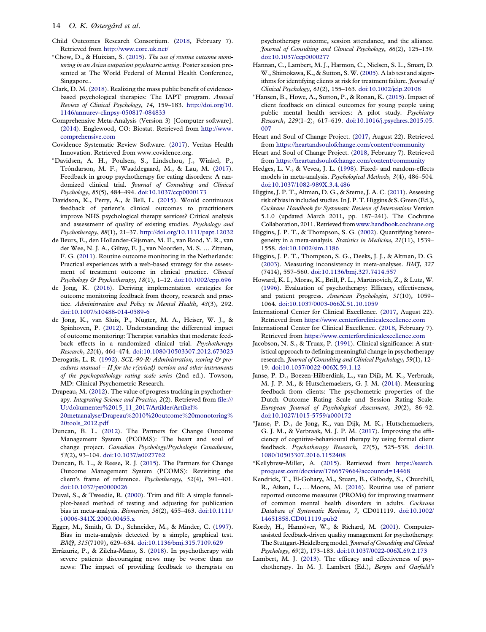- <span id="page-14-0"></span>Child Outcomes Research Consortium. ([2018](#page-2-0), February 7). Retrieved from <http://www.corc.uk.net/>
- <sup>∗</sup>Chow, D., & Huixian, S. [\(2015](#page-9-0)). The use of routine outcome monitoring in an Asian outpatient psychiatric setting. Poster session presented at The World Federal of Mental Health Conference, Singapore..
- Clark, D. M. ([2018](#page-2-0)). Realizing the mass public benefit of evidencebased psychological therapies: The IAPT program. Annual Review of Clinical Psychology, 14, 159–183. [http://doi.org/10.](http://doi.org/10.1146/annurev-clinpsy-050817-084833) [1146/annurev-clinpsy-050817-084833](http://doi.org/10.1146/annurev-clinpsy-050817-084833)
- Comprehensive Meta-Analysis (Version 3) [Computer software]. ([2014\)](#page-4-0). Englewood, CO: Biostat. Retrieved from [http://www.](http://www.comprehensive.com) [comprehensive.com](http://www.comprehensive.com)
- Covidence Systematic Review Software. ([2017](#page-4-0)). Veritas Health Innovation. Retrieved from www.covidence.org.
- <sup>∗</sup>Davidsen, A. H., Poulsen, S., Lindschou, J., Winkel, P., Tróndarson, M. F., Waaddegaard, M., & Lau, M. ([2017](#page-2-0)). Feedback in group psychotherapy for eating disorders: A randomized clinical trial. Journal of Consulting and Clinical Psychology, 85(5), 484–494. [doi:10.1037/ccp0000173](https://doi.org/10.1037/ccp0000173)
- Davidson, K., Perry, A., & Bell, L. ([2015\)](#page-12-0). Would continuous feedback of patient's clinical outcomes to practitioners improve NHS psychological therapy services? Critical analysis and assessment of quality of existing studies. Psychology and Psychotherapy, 88(1), 21–37. <http://doi.org/10.1111/papt.12032>
- de Beurs, E., den Hollander-Gijsman, M. E., van Rood, Y. R., van der Wee, N. J. A., Giltay, E. J., van Noorden, M. S. … Zitman, F. G. [\(2011](#page-2-0)). Routine outcome monitoring in the Netherlands: Practical experiences with a web-based strategy for the assessment of treatment outcome in clinical practice. Clinical Psychology & Psychotherapy, 18(1), 1–12. [doi:10.1002/cpp.696](https://doi.org/10.1002/cpp.696)
- de Jong, K. ([2016\)](#page-3-0). Deriving implementation strategies for outcome monitoring feedback from theory, research and practice. Administration and Policy in Mental Health, 43(3), 292. [doi:10.1007/s10488-014-0589-6](https://doi.org/10.1007/s10488-014-0589-6)
- de Jong, K., van Sluis, P., Nugter, M. A., Heiser, W. J., & Spinhoven, P. [\(2012](#page-2-0)). Understanding the differential impact of outcome monitoring: Therapist variables that moderate feedback effects in a randomized clinical trial. Psychotherapy Research, 22(4), 464–474. [doi:10.1080/10503307.2012.673023](https://doi.org/10.1080/10503307.2012.673023)
- Derogatis, L. R. ([1992](#page-4-0)). SCL-90-R: Administration, scoring & procedures manual  $-$  II for the r(evised) version and other instruments of the psychopathology rating scale series (2nd ed.). Towson, MD: Clinical Psychometric Research.
- Drapeau, M. [\(2012\)](#page-2-0). The value of progress tracking in psychotherapy. Integrating Science and Practice, 2(2). Retrieved from [file:///](file:///U:/dokumenter%2015_11_2017/Artikler/Artikel%20metaanalyse/Drapeau%2010%20outcome%20monotoring%20tools_2012.pdf) [U:/dokumenter%2015\\_11\\_2017/Artikler/Artikel%](file:///U:/dokumenter%2015_11_2017/Artikler/Artikel%20metaanalyse/Drapeau%2010%20outcome%20monotoring%20tools_2012.pdf) [20metaanalyse/Drapeau%2010%20outcome%20monotoring%](file:///U:/dokumenter%2015_11_2017/Artikler/Artikel%20metaanalyse/Drapeau%2010%20outcome%20monotoring%20tools_2012.pdf) [20tools\\_2012.pdf](file:///U:/dokumenter%2015_11_2017/Artikler/Artikel%20metaanalyse/Drapeau%2010%20outcome%20monotoring%20tools_2012.pdf)
- Duncan, B. L. ([2012\)](#page-4-0). The Partners for Change Outcome Management System (PCOMS): The heart and soul of change project. Canadian Psychology/Psychologie Canadienne, 53(2), 93–104. [doi:10.1037/a0027762](https://doi.org/10.1037/a0027762)
- Duncan, B. L., & Reese, R. J. ([2015](#page-2-0)). The Partners for Change Outcome Management System (PCOMS): Revisiting the client's frame of reference. Psychotherapy, 52(4), 391–401. [doi:10.1037/pst0000026](https://doi.org/10.1037/pst0000026)
- Duval, S., & Tweedie, R. [\(2000\)](#page-6-0). Trim and fill: A simple funnelplot-based method of testing and adjusting for publication bias in meta-analysis. Biometrics, 56(2), 455–463. [doi:10.1111/](https://doi.org/10.1111/j.0006-341X.2000.00455.x) [j.0006-341X.2000.00455.x](https://doi.org/10.1111/j.0006-341X.2000.00455.x)
- Egger, M., Smith, G. D., Schneider, M., & Minder, C. ([1997](#page-6-0)). Bias in meta-analysis detected by a simple, graphical test. BMJ, 315(7109), 629–634. [doi:10.1136/bmj.315.7109.629](https://doi.org/10.1136/bmj.315.7109.629)
- Errázuriz, P., & Zilcha-Mano, S. [\(2018\)](#page-11-0). In psychotherapy with severe patients discouraging news may be worse than no news: The impact of providing feedback to therapists on

psychotherapy outcome, session attendance, and the alliance. Journal of Consulting and Clinical Psychology, 86(2), 125–139. [doi:10.1037/ccp0000277](https://doi.org/10.1037/ccp0000277)

- Hannan, C., Lambert, M. J., Harmon, C., Nielsen, S. L., Smart, D. W., Shimokawa, K., & Sutton, S. W. [\(2005](#page-1-0)). A lab test and algorithms for identifying clients at risk for treatment failure. *Journal of* Clinical Psychology, 61(2), 155–163. [doi:10.1002/jclp.20108](https://doi.org/10.1002/jclp.20108)
- <sup>∗</sup>Hansen, B., Howe, A., Sutton, P., & Ronan, K. ([2015](#page-2-0)). Impact of client feedback on clinical outcomes for young people using public mental health services: A pilot study. Psychiatry Research, 229(1–2), 617–619. [doi:10.1016/j.psychres.2015.05.](https://doi.org/10.1016/j.psychres.2015.05.007) [007](https://doi.org/10.1016/j.psychres.2015.05.007)
- Heart and Soul of Change Project. ([2017](#page-4-0), August 22). Retrieved from <https://heartandsoulofchange.com/content/community>
- Heart and Soul of Change Project. [\(2018,](#page-2-0) February 7). Retrieved from [https://heartandsoulofchange.com/content/community](https://www.heartandsoulofchange.com/content/community)
- Hedges, L. V., & Vevea, J. L. [\(1998\)](#page-5-0). Fixed- and random-effects models in meta-analysis. Psychological Methods, 3(4), 486–504. [doi:10.1037/1082-989X.3.4.486](https://doi.org/10.1037/1082-989X.3.4.486)
- Higgins, J. P. T., Altman, D. G., & Sterne, J. A. C. ([2011\)](#page-5-0). Assessing risk of bias in included studies. In J. P. T. Higgins & S. Green (Ed.), Cochrane Handbook for Systematic Reviews of Interventions Version 5.1.0 (updated March 2011, pp. 187–241). The Cochrane Collaboration, 2011. Retrieved from[www.handbook.cochrane.org](http://www.handbook.cochrane.org)
- Higgins, J. P. T., & Thompson, S. G. ([2002\)](#page-5-0). Quantifying heterogeneity in a meta-analysis. Statistics in Medicine, 21(11), 1539– 1558. [doi:10.1002/sim.1186](https://doi.org/10.1002/sim.1186)
- Higgins, J. P. T., Thompson, S. G., Deeks, J. J., & Altman, D. G. [\(2003\)](#page-5-0). Measuring inconsistency in meta-analyses. BMJ, 327 (7414), 557–560. [doi:10.1136/bmj.327.7414.557](https://doi.org/10.1136/bmj.327.7414.557)
- Howard, K. I., Moras, K., Brill, P. L., Martinovich, Z., & Lutz, W. [\(1996\)](#page-2-0). Evaluation of psychotherapy: Efficacy, effectiveness, and patient progress. American Psychologist, 51(10), 1059– 1064. [doi:10.1037/0003-066X.51.10.1059](https://doi.org/10.1037/0003-066X.51.10.1059)
- International Center for Clinical Excellence. ([2017](#page-4-0), August 22). Retrieved from <https://www.centerforclinicalexcellence.com>
- International Center for Clinical Excellence. [\(2018](#page-2-0), February 7). Retrieved from <https://www.centerforclinicalexcellence.com>
- Jacobson, N. S., & Truax, P. [\(1991\)](#page-3-0). Clinical significance: A statistical approach to defining meaningful change in psychotherapy research. Journal of Consulting and Clinical Psychology, 59(1), 12– 19. [doi:10.1037/0022-006X.59.1.12](https://doi.org/10.1037/0022-006X.59.1.12)
- Janse, P. D., Boezen-Hilberdink, L., van Dijk, M. K., Verbraak, M. J. P. M., & Hutschemaekers, G. J. M. ([2014](#page-3-0)). Measuring feedback from clients: The psychometric properties of the Dutch Outcome Rating Scale and Session Rating Scale. European Journal of Psychological Assessment, 30(2), 86–92. [doi:10.1027/1015-5759/a000172](https://doi.org/10.1027/1015-5759/a000172)
- <sup>∗</sup>Janse, P. D., de Jong, K., van Dijk, M. K., Hutschemaekers, G. J. M., & Verbraak, M. J. P. M. [\(2017\)](#page-2-0). Improving the efficiency of cognitive-behavioural therapy by using formal client feedback. Psychotherapy Research, 27(5), 525–538. [doi:10.](https://doi.org/10.1080/10503307.2016.1152408) [1080/10503307.2016.1152408](https://doi.org/10.1080/10503307.2016.1152408)
- <sup>∗</sup>Kellybrew-Miller, A. [\(2015\)](#page-7-0). Retrieved from [https://search.](https://search.proquest.com/docview/1766579664?accountid=14468) [proquest.com/docview/1766579664?accountid=14468](https://search.proquest.com/docview/1766579664?accountid=14468)
- Kendrick, T., El-Gohary, M., Stuart, B., Gilbody, S., Churchill, R., Aiken, L., … Moore, M. [\(2016](#page-3-0)). Routine use of patient reported outcome measures (PROMs) for improving treatment of common mental health disorders in adults. Cochrane Database of Systematic Reviews, 7, CD011119. [doi:10.1002/](https://doi.org/10.1002/14651858.CD011119.pub2) [14651858.CD011119.pub2](https://doi.org/10.1002/14651858.CD011119.pub2)
- Kordy, H., Hannöver, W., & Richard, M. ([2001\)](#page-2-0). Computerassisted feedback-driven quality management for psychotherapy: The Stuttgart-Heidelberg model. Journal of Consulting and Clinical Psychology, 69(2), 173–183. [doi:10.1037/0022-006X.69.2.173](https://doi.org/10.1037/0022-006X.69.2.173)
- Lambert, M. J. ([2013](#page-1-0)). The efficacy and effectiveness of psychotherapy. In M. J. Lambert (Ed.), Bergin and Garfield's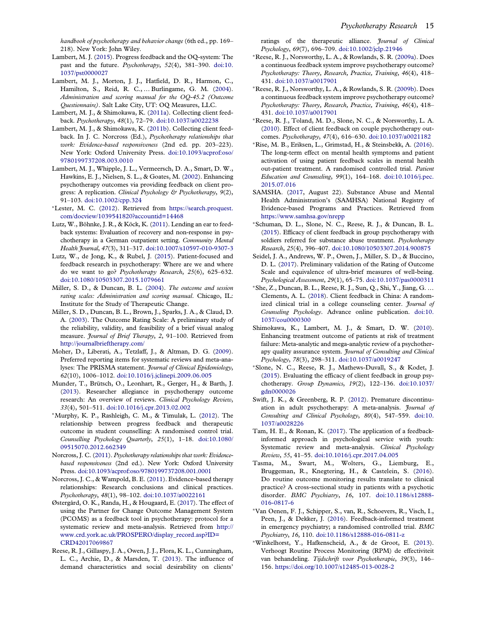<span id="page-15-0"></span>handbook of psychotherapy and behavior change (6th ed., pp. 169– 218). New York: John Wiley.

- Lambert, M. J. ([2015\)](#page-3-0). Progress feedback and the OQ-system: The past and the future. Psychotherapy, 52(4), 381–390. [doi:10.](https://doi.org/10.1037/pst0000027) [1037/pst0000027](https://doi.org/10.1037/pst0000027)
- Lambert, M. J., Morton, J. J., Hatfield, D. R., Harmon, C., Hamilton, S., Reid, R. C., … Burlingame, G. M. ([2004](#page-2-0)). Administration and scoring manual for the OQ-45.2 (Outcome Questionnaire). Salt Lake City, UT: OQ Measures, LLC.
- Lambert, M. J., & Shimokawa, K. ([2011a\)](#page-3-0). Collecting client feedback. Psychotherapy, 48(1), 72–79. [doi:10.1037/a0022238](https://doi.org/10.1037/a0022238)
- Lambert, M. J., & Shimokawa, K. [\(2011b\)](#page-3-0). Collecting client feedback. In J. C. Norcross (Ed.), Psychotherapy relationships that work: Evidence-based responsiveness (2nd ed. pp. 203–223). New York: Oxford University Press. [doi:10.1093/acprof:oso/](https://doi.org/10.1093/acprof:oso/9780199737208.003.0010) [9780199737208.003.0010](https://doi.org/10.1093/acprof:oso/9780199737208.003.0010)
- Lambert, M. J., Whipple, J. L., Vermeersch, D. A., Smart, D. W., Hawkins, E. J., Nielsen, S. L., & Goates, M. [\(2002](#page-2-0)). Enhancing psychotherapy outcomes via providing feedback on client progress: A replication. Clinical Psychology & Psychotherapy, 9(2), 91–103. [doi:10.1002/cpp.324](https://doi.org/10.1002/cpp.324)
- <sup>∗</sup>Lester, M. C. [\(2012](#page-7-0)). Retrieved from [https://search.proquest.](https://search.proquest.com/docview/1039541820?accountid=14468) [com/docview/1039541820?accountid=14468](https://search.proquest.com/docview/1039541820?accountid=14468)
- Lutz, W., Böhnke, J. R., & Köck, K. ([2011\)](#page-2-0). Lending an ear to feedback systems: Evaluation of recovery and non-response in psychotherapy in a German outpatient setting. Community Mental Health Journal, 47(3), 311–317. [doi:10.1007/s10597-010-9307-3](https://doi.org/10.1007/s10597-010-9307-3)
- Lutz, W., de Jong, K., & Rubel, J. ([2015\)](#page-2-0). Patient-focused and feedback research in psychotherapy: Where are we and where do we want to go? Psychotherapy Research, 25(6), 625–632. [doi:10.1080/10503307.2015.1079661](https://doi.org/10.1080/10503307.2015.1079661)
- Miller, S. D., & Duncan, B. L. [\(2004\)](#page-2-0). The outcome and session rating scales: Administration and scoring manual. Chicago, IL: Institute for the Study of Therapeutic Change.
- Miller, S. D., Duncan, B. L., Brown, J., Sparks, J. A., & Claud, D. A. [\(2003\)](#page-2-0). The Outcome Rating Scale: A preliminary study of the reliability, validity, and feasibility of a brief visual analog measure. Journal of Brief Therapy, 2, 91–100. Retrieved from <http://journalbrieftherapy.com/>
- Moher, D., Liberati, A., Tetzlaff, J., & Altman, D. G. ([2009](#page-4-0)). Preferred reporting items for systematic reviews and meta-analyses: The PRISMA statement. Journal of Clinical Epidemiology, 62(10), 1006–1012. [doi:10.1016/j.jclinepi.2009.06.005](https://doi.org/10.1016/j.jclinepi.2009.06.005)
- Munder, T., Brütsch, O., Leonhart, R., Gerger, H., & Barth, J. ([2013\)](#page-3-0). Researcher allegiance in psychotherapy outcome research: An overview of reviews. Clinical Psychology Review, 33(4), 501–511. [doi:10.1016/j.cpr.2013.02.002](https://doi.org/10.1016/j.cpr.2013.02.002)
- <sup>∗</sup>Murphy, K. P., Rashleigh, C. M., & Timulak, L. ([2012\)](#page-2-0). The relationship between progress feedback and therapeutic outcome in student counselling: A randomised control trial. Counselling Psychology Quarterly, 25(1), 1–18. [doi:10.1080/](https://doi.org/10.1080/09515070.2012.662349) [09515070.2012.662349](https://doi.org/10.1080/09515070.2012.662349)
- Norcross, J. C. [\(2011\)](#page-3-0). Psychotherapy relationships that work: Evidencebased responsiveness (2nd ed.). New York: Oxford University Press. [doi:10.1093/acprof:oso/9780199737208.001.0001](https://doi.org/10.1093/acprof:oso/9780199737208.001.0001)
- Norcross, J. C., & Wampold, B. E. [\(2011](#page-3-0)). Evidence-based therapy relationships: Research conclusions and clinical practices. Psychotherapy, 48(1), 98–102. [doi:10.1037/a0022161](https://doi.org/10.1037/a0022161)
- Østergård, O. K., Randa, H., & Hougaard, E. [\(2017](#page-3-0)). The effect of using the Partner for Change Outcome Management System (PCOMS) as a feedback tool in psychotherapy: protocol for a systematic review and meta-analysis. Retrieved from [http://](http://www.crd.york.ac.uk/PROSPERO/display_record.asp?ID=CRD42017069867) [www.crd.york.ac.uk/PROSPERO/display\\_record.asp?ID=](http://www.crd.york.ac.uk/PROSPERO/display_record.asp?ID=CRD42017069867) [CRD42017069867](http://www.crd.york.ac.uk/PROSPERO/display_record.asp?ID=CRD42017069867)
- Reese, R. J., Gillaspy, J. A., Owen, J. J., Flora, K. L., Cunningham, L. C., Archie, D., & Marsden, T. [\(2013\)](#page-12-0). The influence of demand characteristics and social desirability on clients'

ratings of the therapeutic alliance. Journal of Clinical Psychology, 69(7), 696–709. [doi:10.1002/jclp.21946](https://doi.org/10.1002/jclp.21946)

- <sup>∗</sup>Reese, R. J., Norsworthy, L. A., & Rowlands, S. R. [\(2009a](#page-2-0)). Does a continuous feedback system improve psychotherapy outcome? Psychotherapy: Theory, Research, Practice, Training, 46(4), 418– 431. [doi:10.1037/a0017901](https://doi.org/10.1037/a0017901)
- <sup>∗</sup>Reese, R. J., Norsworthy, L. A., & Rowlands, S. R. ([2009b](#page-2-0)). Does a continuous feedback system improve psychotherapy outcome? Psychotherapy: Theory, Research, Practice, Training, 46(4), 418– 431. [doi:10.1037/a0017901](https://doi.org/10.1037/a0017901)
- <sup>∗</sup>Reese, R. J., Toland, M. D., Slone, N. C., & Norsworthy, L. A. [\(2010\)](#page-6-0). Effect of client feedback on couple psychotherapy outcomes. Psychotherapy, 47(4), 616–630. [doi:10.1037/a0021182](https://doi.org/10.1037/a0021182)
- <sup>∗</sup>Rise, M. B., Eriksen, L., Grimstad, H., & Steinsbekk, A. ([2016\)](#page-3-0). The long-term effect on mental health symptoms and patient activation of using patient feedback scales in mental health out-patient treatment. A randomised controlled trial. Patient Education and Counseling, 99(1), 164–168. [doi:10.1016/j.pec.](https://doi.org/10.1016/j.pec.2015.07.016) [2015.07.016](https://doi.org/10.1016/j.pec.2015.07.016)
- SAMSHA. ([2017,](#page-3-0) August 22). Substance Abuse and Mental Health Administration's (SAMHSA) National Registry of Evidence-based Programs and Practices. Retrieved from <https://www.samhsa.gov/nrepp>
- <sup>∗</sup>Schuman, D. L., Slone, N. C., Reese, R. J., & Duncan, B. L. [\(2015](#page-7-0)). Efficacy of client feedback in group psychotherapy with soldiers referred for substance abuse treatment. Psychotherapy Research, 25(4), 396–407. [doi:10.1080/10503307.2014.900875](https://doi.org/10.1080/10503307.2014.900875)
- Seidel, J. A., Andrews, W. P., Owen, J., Miller, S. D., & Buccino, D. L. ([2017](#page-2-0)). Preliminary validation of the Rating of Outcome Scale and equivalence of ultra-brief measures of well-being. Psychological Assessment, 29(1), 65–75. [doi:10.1037/pas0000311](https://doi.org/10.1037/pas0000311)
- <sup>∗</sup>She, Z., Duncan, B. L., Reese, R. J., Sun, Q., Shi, Y., Jiang, G. … Clements, A. L. [\(2018](#page-2-0)). Client feedback in China: A randomized clinical trial in a college counseling center. Journal of Counseling Psychology. Advance online publication. [doi:10.](https://doi.org/10.1037/cou0000300) [1037/cou0000300](https://doi.org/10.1037/cou0000300)
- Shimokawa, K., Lambert, M. J., & Smart, D. W. ([2010\)](#page-3-0). Enhancing treatment outcome of patients at risk of treatment failure: Meta-analytic and mega-analytic review of a psychotherapy quality assurance system. Journal of Consulting and Clinical Psychology, 78(3), 298–311. [doi:10.1037/a0019247](https://doi.org/10.1037/a0019247)
- <sup>∗</sup>Slone, N. C., Reese, R. J., Mathews-Duvall, S., & Kodet, J. [\(2015\)](#page-8-0). Evaluating the efficacy of client feedback in group psychotherapy. Group Dynamics, 19(2), 122–136. [doi:10.1037/](https://doi.org/10.1037/gdn0000026) [gdn0000026](https://doi.org/10.1037/gdn0000026)
- Swift, J. K., & Greenberg, R. P. [\(2012\)](#page-1-0). Premature discontinuation in adult psychotherapy: A meta-analysis. Journal of Consulting and Clinical Psychology, 80(4), 547–559. [doi:10.](https://doi.org/10.1037/a0028226) [1037/a0028226](https://doi.org/10.1037/a0028226)
- Tam, H. E., & Ronan, K. [\(2017](#page-3-0)). The application of a feedbackinformed approach in psychological service with youth: Systematic review and meta-analysis. Clinical Psychology Review, 55, 41–55. [doi:10.1016/j.cpr.2017.04.005](https://doi.org/10.1016/j.cpr.2017.04.005)
- Tasma, M., Swart, M., Wolters, G., Liemburg, E., Bruggeman, R., Knegtering, H., & Castelein, S. [\(2016\)](#page-2-0). Do routine outcome monitoring results translate to clinical practice? A cross-sectional study in patients with a psychotic disorder. BMC Psychiatry, 16, 107. [doi:10.1186/s12888-](https://doi.org/10.1186/s12888-016-0817-6) [016-0817-6](https://doi.org/10.1186/s12888-016-0817-6)
- <sup>∗</sup>Van Oenen, F. J., Schipper, S., van, R., Schoevers, R., Visch, I., Peen, J., & Dekker, J. ([2016\)](#page-3-0). Feedback-informed treatment in emergency psychiatry; a randomised controlled trial. BMC Psychiatry, 16, 110. [doi:10.1186/s12888-016-0811-z](https://doi.org/10.1186/s12888-016-0811-z)
- <sup>∗</sup>Winkelhorst, Y., Hafkenscheid, A., & de Groot, E. ([2013\)](#page-6-0). Verhoogt Routine Process Monitoring (RPM) de effectiviteit van behandeling. Tijdschrift voor Psychotherapie, 39(3), 146– 156. <https://doi.org/10.1007/s12485-013-0028-2>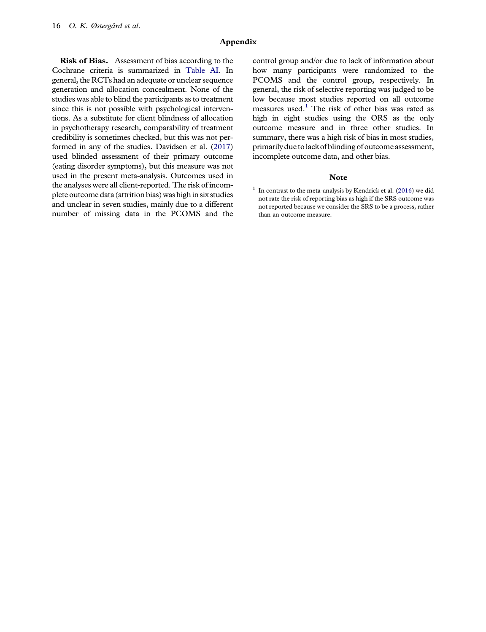### Appendix

Risk of Bias. Assessment of bias according to the Cochrane criteria is summarized in [Table AI](#page-17-0). In general, the RCTs had an adequate or unclear sequence generation and allocation concealment. None of the studies was able to blind the participants as to treatment since this is not possible with psychological interventions. As a substitute for client blindness of allocation in psychotherapy research, comparability of treatment credibility is sometimes checked, but this was not performed in any of the studies. Davidsen et al. ([2017\)](#page-14-0) used blinded assessment of their primary outcome (eating disorder symptoms), but this measure was not used in the present meta-analysis. Outcomes used in the analyses were all client-reported. The risk of incomplete outcome data (attrition bias) was high in six studies and unclear in seven studies, mainly due to a different number of missing data in the PCOMS and the

control group and/or due to lack of information about how many participants were randomized to the PCOMS and the control group, respectively. In general, the risk of selective reporting was judged to be low because most studies reported on all outcome measures used.<sup>1</sup> The risk of other bias was rated as high in eight studies using the ORS as the only outcome measure and in three other studies. In summary, there was a high risk of bias in most studies, primarily due to lack of blinding of outcome assessment, incomplete outcome data, and other bias.

### Note

 $1$  In contrast to the meta-analysis by Kendrick et al. [\(2016](#page-14-0)) we did not rate the risk of reporting bias as high if the SRS outcome was not reported because we consider the SRS to be a process, rather than an outcome measure.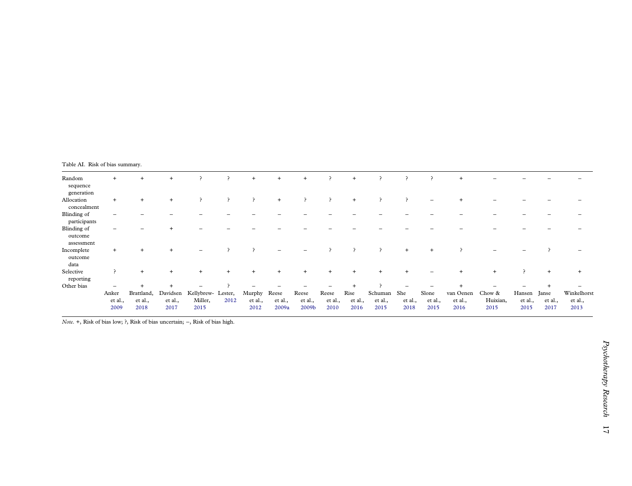<span id="page-17-0"></span>

|  |  |  | Table AI. Risk of bias summary. |
|--|--|--|---------------------------------|
|--|--|--|---------------------------------|

| Random<br>sequence<br>generation     | $+$                      | $+$                           | $+$                         |                                       | ∍              | $+$                       | $+$                       | $+$                       | - 2                      | $+$                     |                            |                        | $\overline{\phantom{a}}$ | $+$                          |                            |                           |                          |                                |
|--------------------------------------|--------------------------|-------------------------------|-----------------------------|---------------------------------------|----------------|---------------------------|---------------------------|---------------------------|--------------------------|-------------------------|----------------------------|------------------------|--------------------------|------------------------------|----------------------------|---------------------------|--------------------------|--------------------------------|
| Allocation<br>concealment            | $+$                      | $+$                           | $+$                         | $\rightarrow$                         | $\overline{ }$ | P                         | $+$                       | P                         | $\cdot$                  | $+$                     | ∍                          | - 2                    |                          |                              |                            |                           |                          |                                |
| Blinding of<br>participants          |                          |                               |                             |                                       |                |                           |                           |                           |                          |                         |                            |                        |                          |                              |                            |                           |                          |                                |
| Blinding of<br>outcome<br>assessment |                          |                               |                             |                                       |                |                           |                           |                           |                          |                         |                            |                        |                          |                              |                            |                           |                          |                                |
| Incomplete<br>outcome<br>data        | $+$                      | $+$                           | $+$                         | $\overline{\phantom{0}}$              |                |                           |                           |                           | $\rightarrow$            | $\rightarrow$           | -2                         | $+$                    |                          |                              |                            |                           |                          |                                |
| Selective<br>reporting               |                          | $+$                           | $\ddot{}$                   | $+$                                   | $+$            | $+$                       | $^{+}$                    | $+$                       | $\overline{+}$           |                         | $+$                        |                        |                          |                              | $+$                        | $\overline{ }$            | $+$                      | $+$                            |
| Other bias                           |                          |                               |                             |                                       |                |                           |                           |                           |                          |                         |                            |                        |                          |                              |                            |                           |                          |                                |
|                                      | Anker<br>et al.,<br>2009 | Brattland,<br>et al.,<br>2018 | Davidsen<br>et al.,<br>2017 | Kellybrew- Lester,<br>Miller,<br>2015 | 2012           | Murphy<br>et al.,<br>2012 | Reese<br>et al.,<br>2009a | Reese<br>et al.,<br>2009b | Reese<br>et al.,<br>2010 | Rise<br>et al.,<br>2016 | Schuman<br>et al.,<br>2015 | She<br>et al.,<br>2018 | Slone<br>et al.,<br>2015 | van Oenen<br>et al.,<br>2016 | Chow &<br>Huixian,<br>2015 | Hansen<br>et al.,<br>2015 | Janse<br>et al.,<br>2017 | Winkelhorst<br>et al.,<br>2013 |

Note. +, Risk of bias low; ?, Risk of bias uncertain; <sup>−</sup>, Risk of bias high.